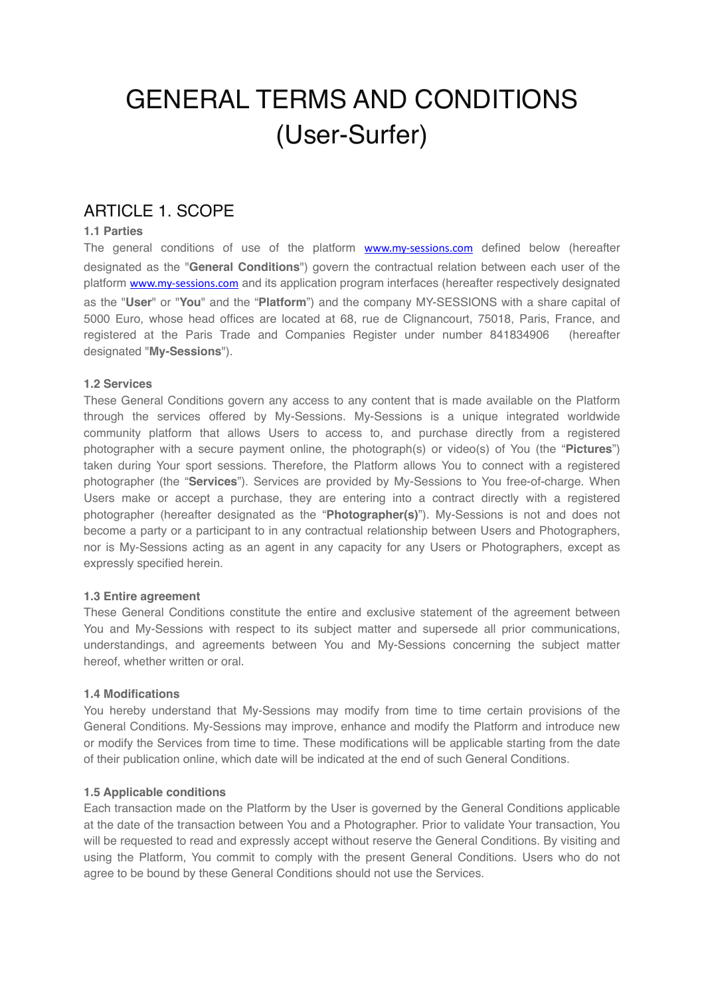# GENERAL TERMS AND CONDITIONS (User-Surfer)

### ARTICLE 1. SCOPE

### **1.1 Parties**

The general conditions of use of the platform **[www.my-sessions.com](http://www.my-sessions.com)** defined below (hereafter designated as the "**General Conditions**") govern the contractual relation between each user of the platform [www.my-sessions.com](http://www.my-sessions.com) and its application program interfaces (hereafter respectively designated as the "**User**" or "**You**" and the "**Platform**") and the company MY-SESSIONS with a share capital of 5000 Euro, whose head offices are located at 68, rue de Clignancourt, 75018, Paris, France, and registered at the Paris Trade and Companies Register under number 841834906 (hereafter designated "**My-Sessions**").

### **1.2 Services**

These General Conditions govern any access to any content that is made available on the Platform through the services offered by My-Sessions. My-Sessions is a unique integrated worldwide community platform that allows Users to access to, and purchase directly from a registered photographer with a secure payment online, the photograph(s) or video(s) of You (the "**Pictures**") taken during Your sport sessions. Therefore, the Platform allows You to connect with a registered photographer (the "**Services**"). Services are provided by My-Sessions to You free-of-charge. When Users make or accept a purchase, they are entering into a contract directly with a registered photographer (hereafter designated as the "**Photographer(s)**"). My-Sessions is not and does not become a party or a participant to in any contractual relationship between Users and Photographers, nor is My-Sessions acting as an agent in any capacity for any Users or Photographers, except as expressly specified herein.

#### **1.3 Entire agreement**

These General Conditions constitute the entire and exclusive statement of the agreement between You and My-Sessions with respect to its subject matter and supersede all prior communications, understandings, and agreements between You and My-Sessions concerning the subject matter hereof, whether written or oral.

#### **1.4 Modifications**

You hereby understand that My-Sessions may modify from time to time certain provisions of the General Conditions. My-Sessions may improve, enhance and modify the Platform and introduce new or modify the Services from time to time. These modifications will be applicable starting from the date of their publication online, which date will be indicated at the end of such General Conditions.

#### **1.5 Applicable conditions**

Each transaction made on the Platform by the User is governed by the General Conditions applicable at the date of the transaction between You and a Photographer. Prior to validate Your transaction, You will be requested to read and expressly accept without reserve the General Conditions. By visiting and using the Platform, You commit to comply with the present General Conditions. Users who do not agree to be bound by these General Conditions should not use the Services.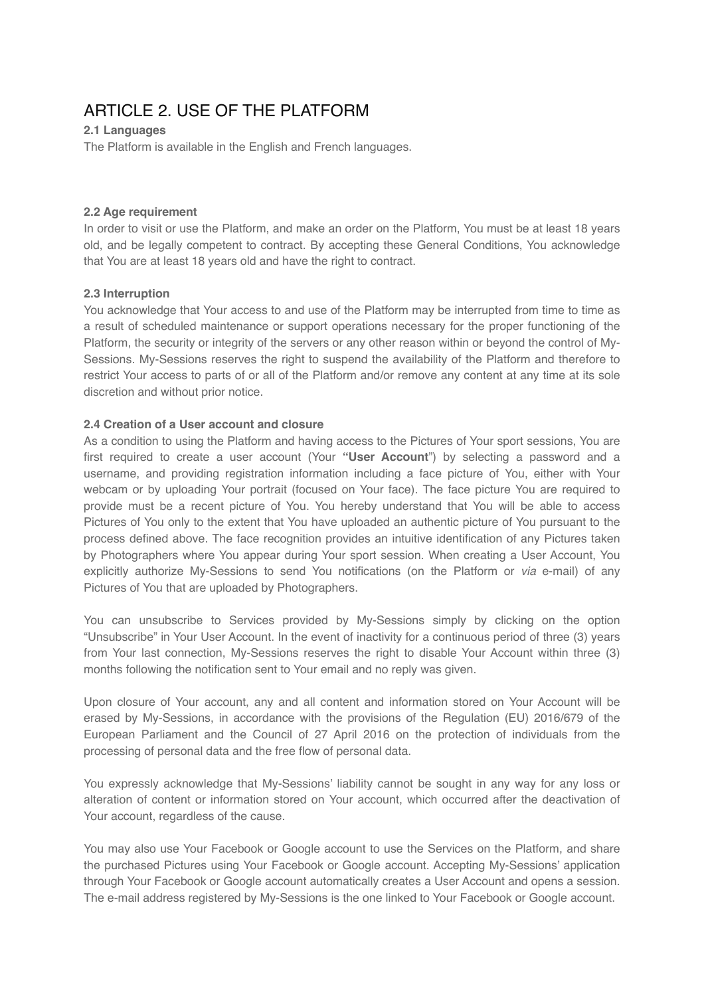# ARTICLE 2. USE OF THE PLATFORM

### **2.1 Languages**

The Platform is available in the English and French languages.

#### **2.2 Age requirement**

In order to visit or use the Platform, and make an order on the Platform, You must be at least 18 years old, and be legally competent to contract. By accepting these General Conditions, You acknowledge that You are at least 18 years old and have the right to contract.

### **2.3 Interruption**

You acknowledge that Your access to and use of the Platform may be interrupted from time to time as a result of scheduled maintenance or support operations necessary for the proper functioning of the Platform, the security or integrity of the servers or any other reason within or beyond the control of My-Sessions. My-Sessions reserves the right to suspend the availability of the Platform and therefore to restrict Your access to parts of or all of the Platform and/or remove any content at any time at its sole discretion and without prior notice.

### **2.4 Creation of a User account and closure**

As a condition to using the Platform and having access to the Pictures of Your sport sessions, You are first required to create a user account (Your **"User Account**") by selecting a password and a username, and providing registration information including a face picture of You, either with Your webcam or by uploading Your portrait (focused on Your face). The face picture You are required to provide must be a recent picture of You. You hereby understand that You will be able to access Pictures of You only to the extent that You have uploaded an authentic picture of You pursuant to the process defined above. The face recognition provides an intuitive identification of any Pictures taken by Photographers where You appear during Your sport session. When creating a User Account, You explicitly authorize My-Sessions to send You notifications (on the Platform or *via* e-mail) of any Pictures of You that are uploaded by Photographers.

You can unsubscribe to Services provided by My-Sessions simply by clicking on the option "Unsubscribe" in Your User Account. In the event of inactivity for a continuous period of three (3) years from Your last connection, My-Sessions reserves the right to disable Your Account within three (3) months following the notification sent to Your email and no reply was given.

Upon closure of Your account, any and all content and information stored on Your Account will be erased by My-Sessions, in accordance with the provisions of the Regulation (EU) 2016/679 of the European Parliament and the Council of 27 April 2016 on the protection of individuals from the processing of personal data and the free flow of personal data.

You expressly acknowledge that My-Sessions' liability cannot be sought in any way for any loss or alteration of content or information stored on Your account, which occurred after the deactivation of Your account, regardless of the cause.

You may also use Your Facebook or Google account to use the Services on the Platform, and share the purchased Pictures using Your Facebook or Google account. Accepting My-Sessions' application through Your Facebook or Google account automatically creates a User Account and opens a session. The e-mail address registered by My-Sessions is the one linked to Your Facebook or Google account.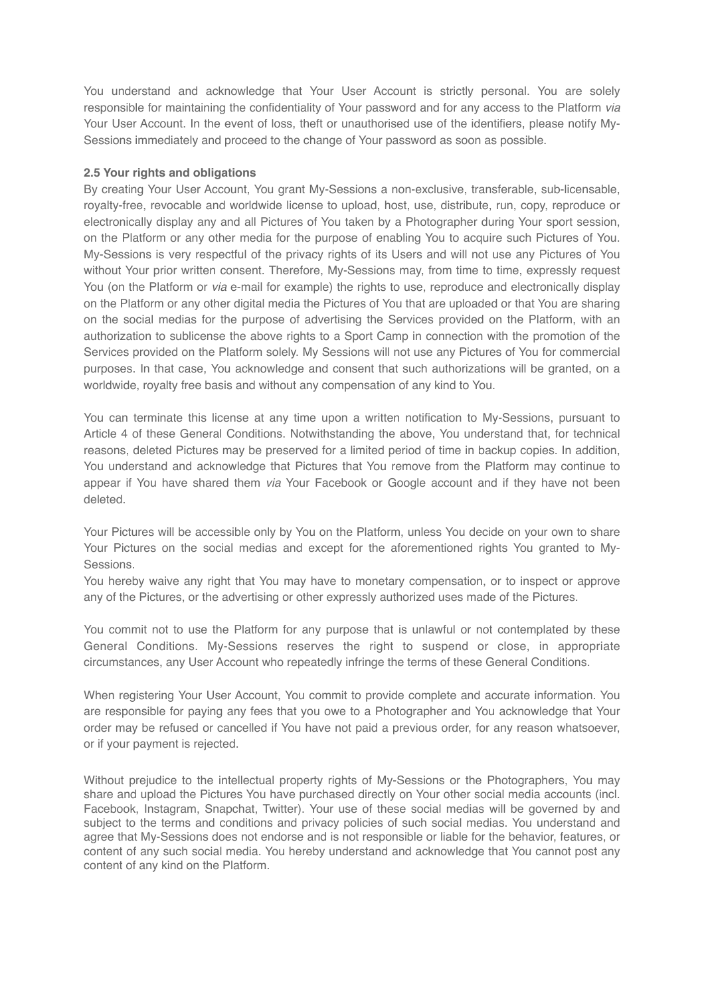You understand and acknowledge that Your User Account is strictly personal. You are solely responsible for maintaining the confidentiality of Your password and for any access to the Platform *via* Your User Account. In the event of loss, theft or unauthorised use of the identifiers, please notify My-Sessions immediately and proceed to the change of Your password as soon as possible.

#### **2.5 Your rights and obligations**

By creating Your User Account, You grant My-Sessions a non-exclusive, transferable, sub-licensable, royalty-free, revocable and worldwide license to upload, host, use, distribute, run, copy, reproduce or electronically display any and all Pictures of You taken by a Photographer during Your sport session, on the Platform or any other media for the purpose of enabling You to acquire such Pictures of You. My-Sessions is very respectful of the privacy rights of its Users and will not use any Pictures of You without Your prior written consent. Therefore, My-Sessions may, from time to time, expressly request You (on the Platform or *via* e-mail for example) the rights to use, reproduce and electronically display on the Platform or any other digital media the Pictures of You that are uploaded or that You are sharing on the social medias for the purpose of advertising the Services provided on the Platform, with an authorization to sublicense the above rights to a Sport Camp in connection with the promotion of the Services provided on the Platform solely. My Sessions will not use any Pictures of You for commercial purposes. In that case, You acknowledge and consent that such authorizations will be granted, on a worldwide, royalty free basis and without any compensation of any kind to You.

You can terminate this license at any time upon a written notification to My-Sessions, pursuant to Article 4 of these General Conditions. Notwithstanding the above, You understand that, for technical reasons, deleted Pictures may be preserved for a limited period of time in backup copies. In addition, You understand and acknowledge that Pictures that You remove from the Platform may continue to appear if You have shared them *via* Your Facebook or Google account and if they have not been deleted.

Your Pictures will be accessible only by You on the Platform, unless You decide on your own to share Your Pictures on the social medias and except for the aforementioned rights You granted to My-Sessions.

You hereby waive any right that You may have to monetary compensation, or to inspect or approve any of the Pictures, or the advertising or other expressly authorized uses made of the Pictures.

You commit not to use the Platform for any purpose that is unlawful or not contemplated by these General Conditions. My-Sessions reserves the right to suspend or close, in appropriate circumstances, any User Account who repeatedly infringe the terms of these General Conditions.

When registering Your User Account, You commit to provide complete and accurate information. You are responsible for paying any fees that you owe to a Photographer and You acknowledge that Your order may be refused or cancelled if You have not paid a previous order, for any reason whatsoever, or if your payment is rejected.

Without prejudice to the intellectual property rights of My-Sessions or the Photographers, You may share and upload the Pictures You have purchased directly on Your other social media accounts (incl. Facebook, Instagram, Snapchat, Twitter). Your use of these social medias will be governed by and subject to the terms and conditions and privacy policies of such social medias. You understand and agree that My-Sessions does not endorse and is not responsible or liable for the behavior, features, or content of any such social media. You hereby understand and acknowledge that You cannot post any content of any kind on the Platform.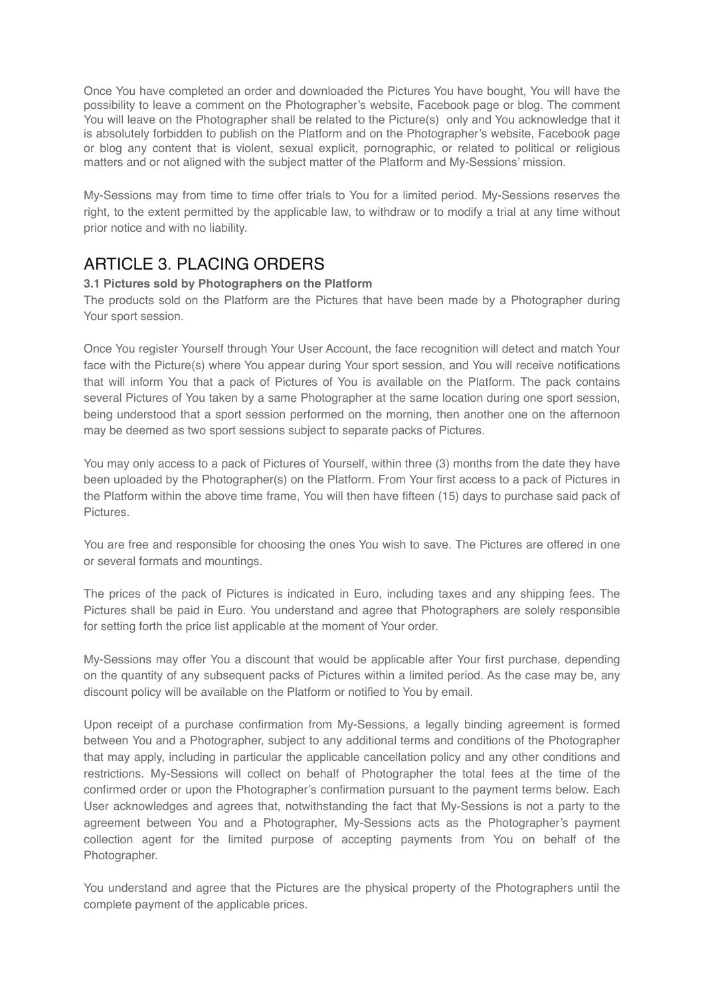Once You have completed an order and downloaded the Pictures You have bought, You will have the possibility to leave a comment on the Photographer's website, Facebook page or blog. The comment You will leave on the Photographer shall be related to the Picture(s) only and You acknowledge that it is absolutely forbidden to publish on the Platform and on the Photographer's website, Facebook page or blog any content that is violent, sexual explicit, pornographic, or related to political or religious matters and or not aligned with the subject matter of the Platform and My-Sessions' mission.

My-Sessions may from time to time offer trials to You for a limited period. My-Sessions reserves the right, to the extent permitted by the applicable law, to withdraw or to modify a trial at any time without prior notice and with no liability.

### ARTICLE 3. PLACING ORDERS

### **3.1 Pictures sold by Photographers on the Platform**

The products sold on the Platform are the Pictures that have been made by a Photographer during Your sport session.

Once You register Yourself through Your User Account, the face recognition will detect and match Your face with the Picture(s) where You appear during Your sport session, and You will receive notifications that will inform You that a pack of Pictures of You is available on the Platform. The pack contains several Pictures of You taken by a same Photographer at the same location during one sport session, being understood that a sport session performed on the morning, then another one on the afternoon may be deemed as two sport sessions subject to separate packs of Pictures.

You may only access to a pack of Pictures of Yourself, within three (3) months from the date they have been uploaded by the Photographer(s) on the Platform. From Your first access to a pack of Pictures in the Platform within the above time frame, You will then have fifteen (15) days to purchase said pack of Pictures.

You are free and responsible for choosing the ones You wish to save. The Pictures are offered in one or several formats and mountings.

The prices of the pack of Pictures is indicated in Euro, including taxes and any shipping fees. The Pictures shall be paid in Euro. You understand and agree that Photographers are solely responsible for setting forth the price list applicable at the moment of Your order.

My-Sessions may offer You a discount that would be applicable after Your first purchase, depending on the quantity of any subsequent packs of Pictures within a limited period. As the case may be, any discount policy will be available on the Platform or notified to You by email.

Upon receipt of a purchase confirmation from My-Sessions, a legally binding agreement is formed between You and a Photographer, subject to any additional terms and conditions of the Photographer that may apply, including in particular the applicable cancellation policy and any other conditions and restrictions. My-Sessions will collect on behalf of Photographer the total fees at the time of the confirmed order or upon the Photographer's confirmation pursuant to the payment terms below. Each User acknowledges and agrees that, notwithstanding the fact that My-Sessions is not a party to the agreement between You and a Photographer, My-Sessions acts as the Photographer's payment collection agent for the limited purpose of accepting payments from You on behalf of the Photographer.

You understand and agree that the Pictures are the physical property of the Photographers until the complete payment of the applicable prices.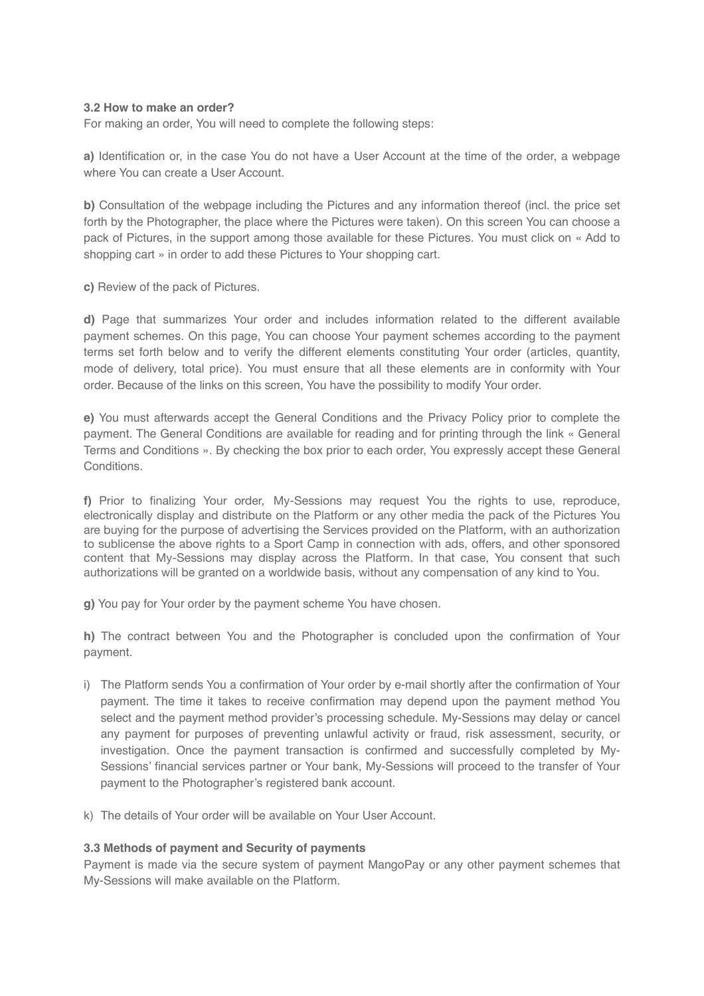#### **3.2 How to make an order?**

For making an order, You will need to complete the following steps:

**a)** Identification or, in the case You do not have a User Account at the time of the order, a webpage where You can create a User Account.

**b)** Consultation of the webpage including the Pictures and any information thereof (incl. the price set forth by the Photographer, the place where the Pictures were taken). On this screen You can choose a pack of Pictures, in the support among those available for these Pictures. You must click on « Add to shopping cart » in order to add these Pictures to Your shopping cart.

**c)** Review of the pack of Pictures.

**d)** Page that summarizes Your order and includes information related to the different available payment schemes. On this page, You can choose Your payment schemes according to the payment terms set forth below and to verify the different elements constituting Your order (articles, quantity, mode of delivery, total price). You must ensure that all these elements are in conformity with Your order. Because of the links on this screen, You have the possibility to modify Your order.

**e)** You must afterwards accept the General Conditions and the Privacy Policy prior to complete the payment. The General Conditions are available for reading and for printing through the link « General Terms and Conditions ». By checking the box prior to each order, You expressly accept these General Conditions.

**f)** Prior to finalizing Your order, My-Sessions may request You the rights to use, reproduce, electronically display and distribute on the Platform or any other media the pack of the Pictures You are buying for the purpose of advertising the Services provided on the Platform, with an authorization to sublicense the above rights to a Sport Camp in connection with ads, offers, and other sponsored content that My-Sessions may display across the Platform. In that case, You consent that such authorizations will be granted on a worldwide basis, without any compensation of any kind to You.

**g)** You pay for Your order by the payment scheme You have chosen.

**h)** The contract between You and the Photographer is concluded upon the confirmation of Your payment.

- i) The Platform sends You a confirmation of Your order by e-mail shortly after the confirmation of Your payment. The time it takes to receive confirmation may depend upon the payment method You select and the payment method provider's processing schedule. My-Sessions may delay or cancel any payment for purposes of preventing unlawful activity or fraud, risk assessment, security, or investigation. Once the payment transaction is confirmed and successfully completed by My-Sessions' financial services partner or Your bank, My-Sessions will proceed to the transfer of Your payment to the Photographer's registered bank account.
- k) The details of Your order will be available on Your User Account.

#### **3.3 Methods of payment and Security of payments**

Payment is made via the secure system of payment MangoPay or any other payment schemes that My-Sessions will make available on the Platform.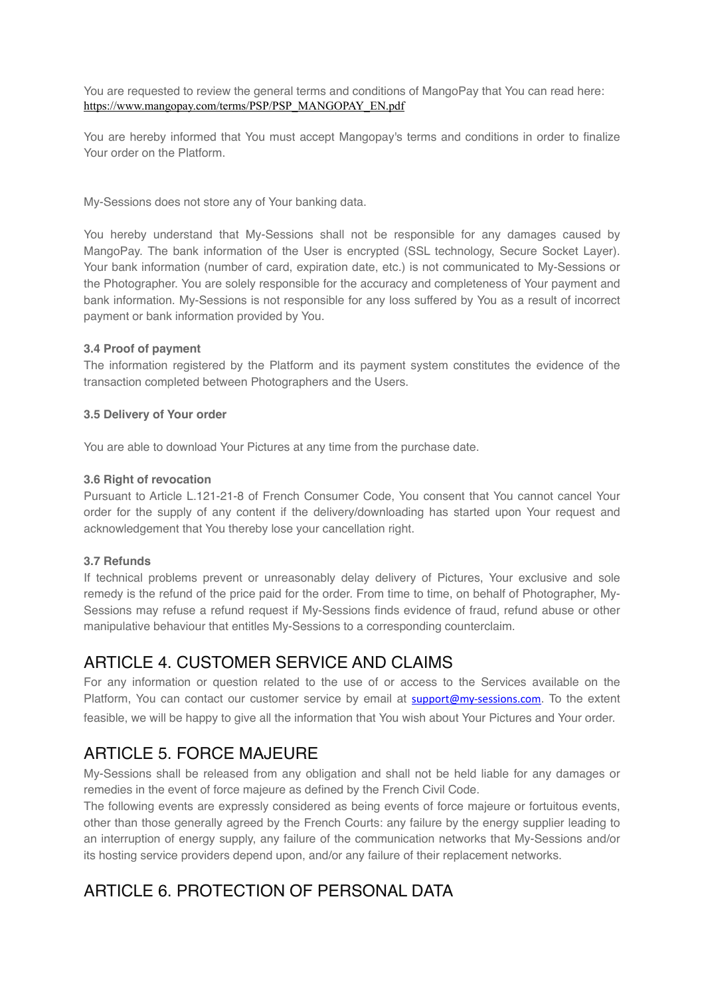You are requested to review the general terms and conditions of MangoPay that You can read here: [https://www.mangopay.com/terms/PSP/PSP\\_MANGOPAY\\_EN.pdf](https://www.mangopay.com/terms/PSP/PSP_MANGOPAY_EN.pdf)

You are hereby informed that You must accept Mangopay's terms and conditions in order to finalize Your order on the Platform.

My-Sessions does not store any of Your banking data.

You hereby understand that My-Sessions shall not be responsible for any damages caused by MangoPay. The bank information of the User is encrypted (SSL technology, Secure Socket Layer). Your bank information (number of card, expiration date, etc.) is not communicated to My-Sessions or the Photographer. You are solely responsible for the accuracy and completeness of Your payment and bank information. My-Sessions is not responsible for any loss suffered by You as a result of incorrect payment or bank information provided by You.

### **3.4 Proof of payment**

The information registered by the Platform and its payment system constitutes the evidence of the transaction completed between Photographers and the Users.

### **3.5 Delivery of Your order**

You are able to download Your Pictures at any time from the purchase date.

### **3.6 Right of revocation**

Pursuant to Article L.121-21-8 of French Consumer Code, You consent that You cannot cancel Your order for the supply of any content if the delivery/downloading has started upon Your request and acknowledgement that You thereby lose your cancellation right.

### **3.7 Refunds**

If technical problems prevent or unreasonably delay delivery of Pictures, Your exclusive and sole remedy is the refund of the price paid for the order. From time to time, on behalf of Photographer, My-Sessions may refuse a refund request if My-Sessions finds evidence of fraud, refund abuse or other manipulative behaviour that entitles My-Sessions to a corresponding counterclaim.

### ARTICLE 4. CUSTOMER SERVICE AND CLAIMS

For any information or question related to the use of or access to the Services available on the Platform, You can contact our customer service by email at [support@my-sessions.com](mailto:support@my-sessions.com). To the extent feasible, we will be happy to give all the information that You wish about Your Pictures and Your order.

### ARTICLE 5. FORCE MAJEURE

My-Sessions shall be released from any obligation and shall not be held liable for any damages or remedies in the event of force majeure as defined by the French Civil Code.

The following events are expressly considered as being events of force majeure or fortuitous events, other than those generally agreed by the French Courts: any failure by the energy supplier leading to an interruption of energy supply, any failure of the communication networks that My-Sessions and/or its hosting service providers depend upon, and/or any failure of their replacement networks.

### ARTICLE 6. PROTECTION OF PERSONAL DATA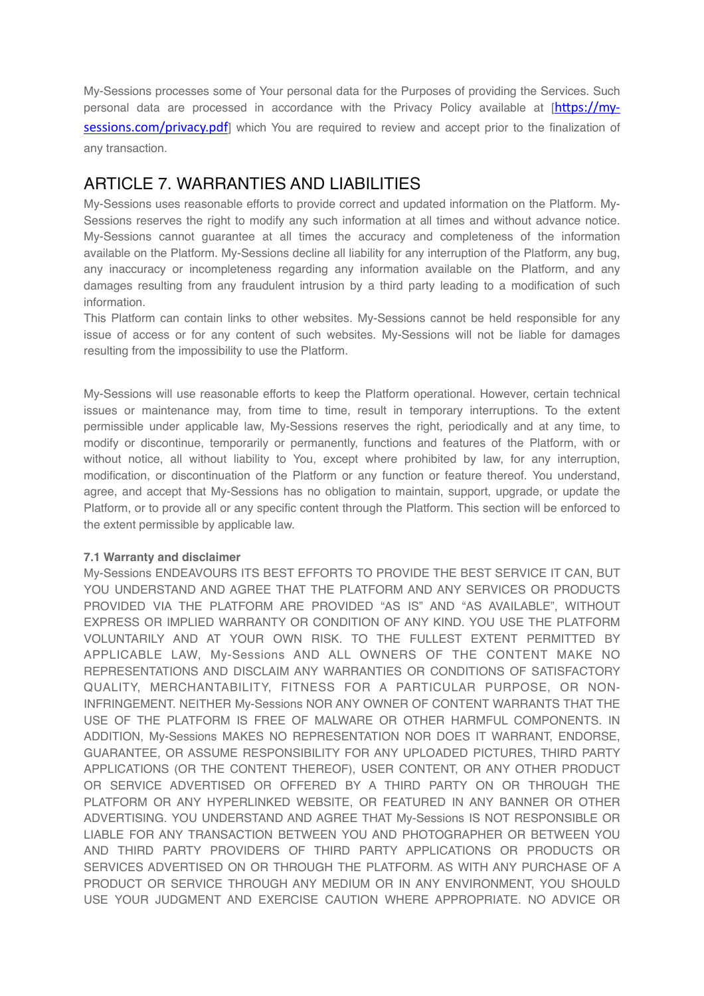My-Sessions processes some of Your personal data for the Purposes of providing the Services. Such personal data are processed in accordance with the Privacy Policy available at  $[https://my$ [sessions.com/privacy.pdf](https://my-sessions.com/privacy.pdf)] which You are required to review and accept prior to the finalization of any transaction.

### ARTICLE 7. WARRANTIES AND LIABILITIES

My-Sessions uses reasonable efforts to provide correct and updated information on the Platform. My-Sessions reserves the right to modify any such information at all times and without advance notice. My-Sessions cannot guarantee at all times the accuracy and completeness of the information available on the Platform. My-Sessions decline all liability for any interruption of the Platform, any bug, any inaccuracy or incompleteness regarding any information available on the Platform, and any damages resulting from any fraudulent intrusion by a third party leading to a modification of such information.

This Platform can contain links to other websites. My-Sessions cannot be held responsible for any issue of access or for any content of such websites. My-Sessions will not be liable for damages resulting from the impossibility to use the Platform.

My-Sessions will use reasonable efforts to keep the Platform operational. However, certain technical issues or maintenance may, from time to time, result in temporary interruptions. To the extent permissible under applicable law, My-Sessions reserves the right, periodically and at any time, to modify or discontinue, temporarily or permanently, functions and features of the Platform, with or without notice, all without liability to You, except where prohibited by law, for any interruption, modification, or discontinuation of the Platform or any function or feature thereof. You understand, agree, and accept that My-Sessions has no obligation to maintain, support, upgrade, or update the Platform, or to provide all or any specific content through the Platform. This section will be enforced to the extent permissible by applicable law.

### **7.1 Warranty and disclaimer**

My-Sessions ENDEAVOURS ITS BEST EFFORTS TO PROVIDE THE BEST SERVICE IT CAN, BUT YOU UNDERSTAND AND AGREE THAT THE PLATFORM AND ANY SERVICES OR PRODUCTS PROVIDED VIA THE PLATFORM ARE PROVIDED "AS IS" AND "AS AVAILABLE", WITHOUT EXPRESS OR IMPLIED WARRANTY OR CONDITION OF ANY KIND. YOU USE THE PLATFORM VOLUNTARILY AND AT YOUR OWN RISK. TO THE FULLEST EXTENT PERMITTED BY APPLICABLE LAW, My-Sessions AND ALL OWNERS OF THE CONTENT MAKE NO REPRESENTATIONS AND DISCLAIM ANY WARRANTIES OR CONDITIONS OF SATISFACTORY QUALITY, MERCHANTABILITY, FITNESS FOR A PARTICULAR PURPOSE, OR NON-INFRINGEMENT. NEITHER My-Sessions NOR ANY OWNER OF CONTENT WARRANTS THAT THE USE OF THE PLATFORM IS FREE OF MALWARE OR OTHER HARMFUL COMPONENTS. IN ADDITION, My-Sessions MAKES NO REPRESENTATION NOR DOES IT WARRANT, ENDORSE, GUARANTEE, OR ASSUME RESPONSIBILITY FOR ANY UPLOADED PICTURES, THIRD PARTY APPLICATIONS (OR THE CONTENT THEREOF), USER CONTENT, OR ANY OTHER PRODUCT OR SERVICE ADVERTISED OR OFFERED BY A THIRD PARTY ON OR THROUGH THE PLATFORM OR ANY HYPERLINKED WEBSITE, OR FEATURED IN ANY BANNER OR OTHER ADVERTISING. YOU UNDERSTAND AND AGREE THAT My-Sessions IS NOT RESPONSIBLE OR LIABLE FOR ANY TRANSACTION BETWEEN YOU AND PHOTOGRAPHER OR BETWEEN YOU AND THIRD PARTY PROVIDERS OF THIRD PARTY APPLICATIONS OR PRODUCTS OR SERVICES ADVERTISED ON OR THROUGH THE PLATFORM. AS WITH ANY PURCHASE OF A PRODUCT OR SERVICE THROUGH ANY MEDIUM OR IN ANY ENVIRONMENT, YOU SHOULD USE YOUR JUDGMENT AND EXERCISE CAUTION WHERE APPROPRIATE. NO ADVICE OR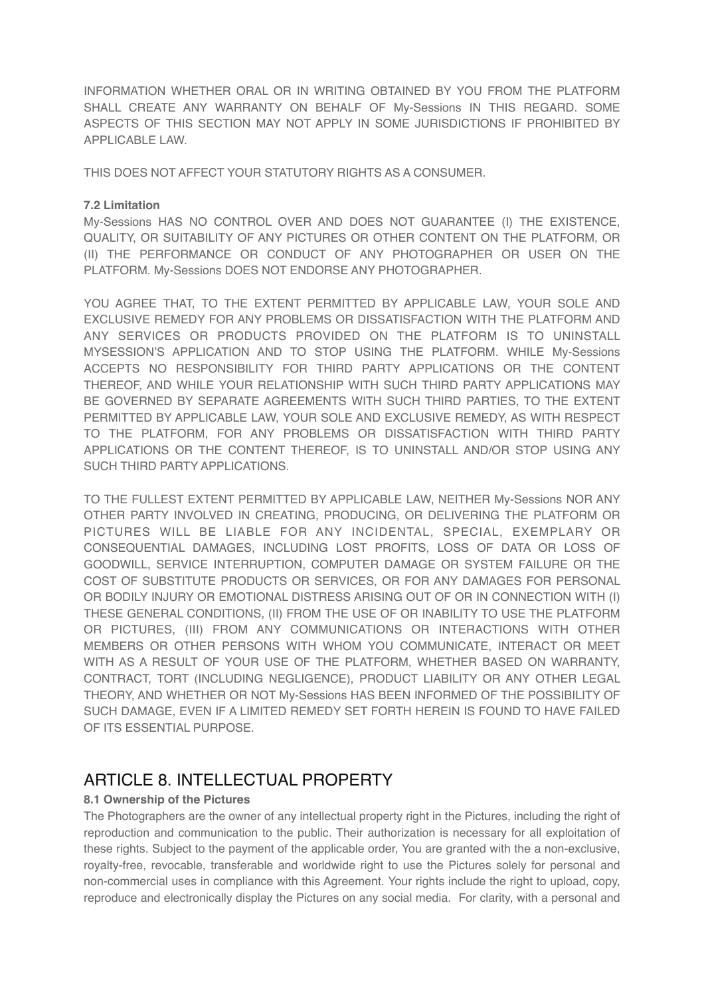INFORMATION WHETHER ORAL OR IN WRITING OBTAINED BY YOU FROM THE PLATFORM SHALL CREATE ANY WARRANTY ON BEHALF OF My-Sessions IN THIS REGARD. SOME ASPECTS OF THIS SECTION MAY NOT APPLY IN SOME JURISDICTIONS IF PROHIBITED BY APPLICABLE LAW.

THIS DOES NOT AFFECT YOUR STATUTORY RIGHTS AS A CONSUMER.

### **7.2 Limitation**

My-Sessions HAS NO CONTROL OVER AND DOES NOT GUARANTEE (I) THE EXISTENCE, QUALITY, OR SUITABILITY OF ANY PICTURES OR OTHER CONTENT ON THE PLATFORM, OR (II) THE PERFORMANCE OR CONDUCT OF ANY PHOTOGRAPHER OR USER ON THE PLATFORM. My-Sessions DOES NOT ENDORSE ANY PHOTOGRAPHER.

YOU AGREE THAT, TO THE EXTENT PERMITTED BY APPLICABLE LAW, YOUR SOLE AND EXCLUSIVE REMEDY FOR ANY PROBLEMS OR DISSATISFACTION WITH THE PLATFORM AND ANY SERVICES OR PRODUCTS PROVIDED ON THE PLATFORM IS TO UNINSTALL MYSESSION'S APPLICATION AND TO STOP USING THE PLATFORM. WHILE My-Sessions ACCEPTS NO RESPONSIBILITY FOR THIRD PARTY APPLICATIONS OR THE CONTENT THEREOF, AND WHILE YOUR RELATIONSHIP WITH SUCH THIRD PARTY APPLICATIONS MAY BE GOVERNED BY SEPARATE AGREEMENTS WITH SUCH THIRD PARTIES, TO THE EXTENT PERMITTED BY APPLICABLE LAW, YOUR SOLE AND EXCLUSIVE REMEDY, AS WITH RESPECT TO THE PLATFORM, FOR ANY PROBLEMS OR DISSATISFACTION WITH THIRD PARTY APPLICATIONS OR THE CONTENT THEREOF, IS TO UNINSTALL AND/OR STOP USING ANY SUCH THIRD PARTY APPLICATIONS.

TO THE FULLEST EXTENT PERMITTED BY APPLICABLE LAW, NEITHER My-Sessions NOR ANY OTHER PARTY INVOLVED IN CREATING, PRODUCING, OR DELIVERING THE PLATFORM OR PICTURES WILL BE LIABLE FOR ANY INCIDENTAL, SPECIAL, EXEMPLARY OR CONSEQUENTIAL DAMAGES, INCLUDING LOST PROFITS, LOSS OF DATA OR LOSS OF GOODWILL, SERVICE INTERRUPTION, COMPUTER DAMAGE OR SYSTEM FAILURE OR THE COST OF SUBSTITUTE PRODUCTS OR SERVICES, OR FOR ANY DAMAGES FOR PERSONAL OR BODILY INJURY OR EMOTIONAL DISTRESS ARISING OUT OF OR IN CONNECTION WITH (I) THESE GENERAL CONDITIONS, (II) FROM THE USE OF OR INABILITY TO USE THE PLATFORM OR PICTURES, (III) FROM ANY COMMUNICATIONS OR INTERACTIONS WITH OTHER MEMBERS OR OTHER PERSONS WITH WHOM YOU COMMUNICATE, INTERACT OR MEET WITH AS A RESULT OF YOUR USE OF THE PLATFORM, WHETHER BASED ON WARRANTY, CONTRACT, TORT (INCLUDING NEGLIGENCE), PRODUCT LIABILITY OR ANY OTHER LEGAL THEORY, AND WHETHER OR NOT My-Sessions HAS BEEN INFORMED OF THE POSSIBILITY OF SUCH DAMAGE, EVEN IF A LIMITED REMEDY SET FORTH HEREIN IS FOUND TO HAVE FAILED OF ITS ESSENTIAL PURPOSE.

### ARTICLE 8. INTELLECTUAL PROPERTY

### **8.1 Ownership of the Pictures**

The Photographers are the owner of any intellectual property right in the Pictures, including the right of reproduction and communication to the public. Their authorization is necessary for all exploitation of these rights. Subject to the payment of the applicable order, You are granted with the a non-exclusive, royalty-free, revocable, transferable and worldwide right to use the Pictures solely for personal and non-commercial uses in compliance with this Agreement. Your rights include the right to upload, copy, reproduce and electronically display the Pictures on any social media. For clarity, with a personal and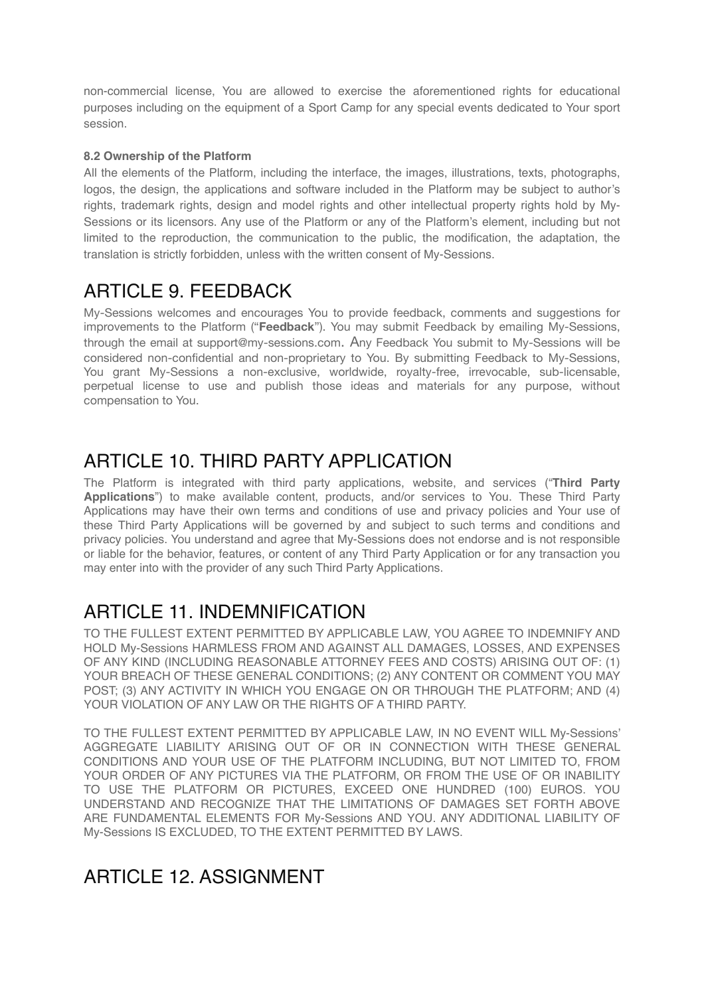non-commercial license, You are allowed to exercise the aforementioned rights for educational purposes including on the equipment of a Sport Camp for any special events dedicated to Your sport session.

### **8.2 Ownership of the Platform**

All the elements of the Platform, including the interface, the images, illustrations, texts, photographs, logos, the design, the applications and software included in the Platform may be subject to author's rights, trademark rights, design and model rights and other intellectual property rights hold by My-Sessions or its licensors. Any use of the Platform or any of the Platform's element, including but not limited to the reproduction, the communication to the public, the modification, the adaptation, the translation is strictly forbidden, unless with the written consent of My-Sessions.

# ARTICLE 9. FEEDBACK

My-Sessions welcomes and encourages You to provide feedback, comments and suggestions for improvements to the Platform ("**Feedback**"). You may submit Feedback by emailing My-Sessions, through the email at [support@my-sessions.com.](mailto:support@my-sessions.com) Any Feedback You submit to My-Sessions will be considered non-confidential and non-proprietary to You. By submitting Feedback to My-Sessions, You grant My-Sessions a non-exclusive, worldwide, royalty-free, irrevocable, sub-licensable, perpetual license to use and publish those ideas and materials for any purpose, without compensation to You.

# ARTICLE 10. THIRD PARTY APPLICATION

The Platform is integrated with third party applications, website, and services ("**Third Party Applications**") to make available content, products, and/or services to You. These Third Party Applications may have their own terms and conditions of use and privacy policies and Your use of these Third Party Applications will be governed by and subject to such terms and conditions and privacy policies. You understand and agree that My-Sessions does not endorse and is not responsible or liable for the behavior, features, or content of any Third Party Application or for any transaction you may enter into with the provider of any such Third Party Applications.

# ARTICLE 11. INDEMNIFICATION

TO THE FULLEST EXTENT PERMITTED BY APPLICABLE LAW, YOU AGREE TO INDEMNIFY AND HOLD My-Sessions HARMLESS FROM AND AGAINST ALL DAMAGES, LOSSES, AND EXPENSES OF ANY KIND (INCLUDING REASONABLE ATTORNEY FEES AND COSTS) ARISING OUT OF: (1) YOUR BREACH OF THESE GENERAL CONDITIONS; (2) ANY CONTENT OR COMMENT YOU MAY POST; (3) ANY ACTIVITY IN WHICH YOU ENGAGE ON OR THROUGH THE PLATFORM; AND (4) YOUR VIOLATION OF ANY LAW OR THE RIGHTS OF A THIRD PARTY.

TO THE FULLEST EXTENT PERMITTED BY APPLICABLE LAW, IN NO EVENT WILL My-Sessions' AGGREGATE LIABILITY ARISING OUT OF OR IN CONNECTION WITH THESE GENERAL CONDITIONS AND YOUR USE OF THE PLATFORM INCLUDING, BUT NOT LIMITED TO, FROM YOUR ORDER OF ANY PICTURES VIA THE PLATFORM, OR FROM THE USE OF OR INABILITY TO USE THE PLATFORM OR PICTURES, EXCEED ONE HUNDRED (100) EUROS. YOU UNDERSTAND AND RECOGNIZE THAT THE LIMITATIONS OF DAMAGES SET FORTH ABOVE ARE FUNDAMENTAL ELEMENTS FOR My-Sessions AND YOU. ANY ADDITIONAL LIABILITY OF My-Sessions IS EXCLUDED, TO THE EXTENT PERMITTED BY LAWS.

## ARTICLE 12. ASSIGNMENT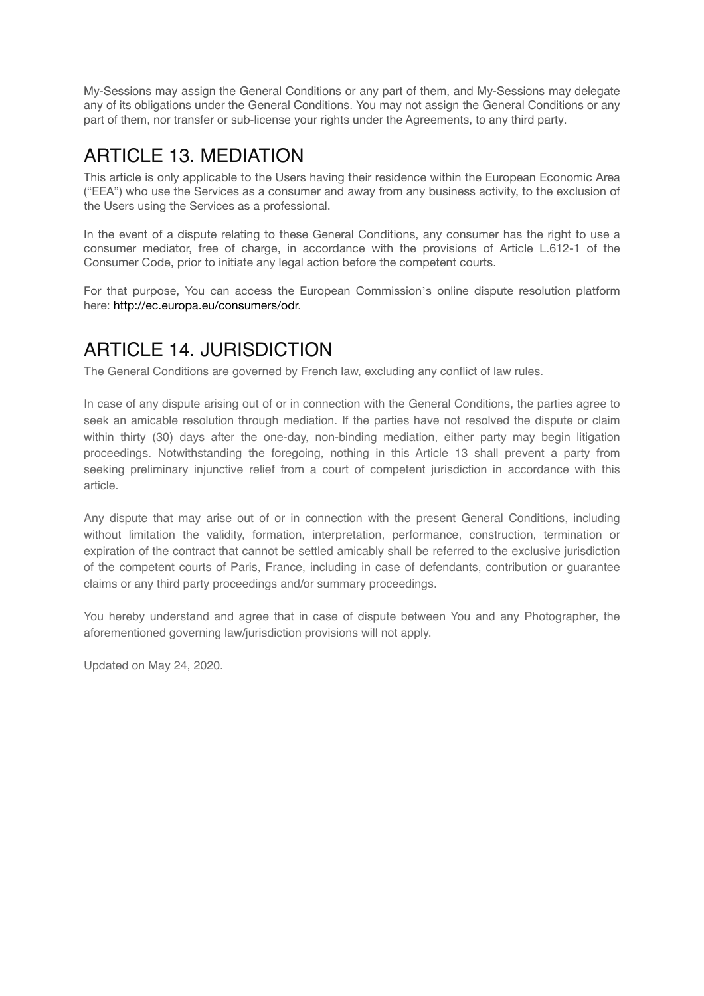My-Sessions may assign the General Conditions or any part of them, and My-Sessions may delegate any of its obligations under the General Conditions. You may not assign the General Conditions or any part of them, nor transfer or sub-license your rights under the Agreements, to any third party.

# ARTICLE 13 MEDIATION

This article is only applicable to the Users having their residence within the European Economic Area ("EEA") who use the Services as a consumer and away from any business activity, to the exclusion of the Users using the Services as a professional.

In the event of a dispute relating to these General Conditions, any consumer has the right to use a consumer mediator, free of charge, in accordance with the provisions of Article L.612-1 of the Consumer Code, prior to initiate any legal action before the competent courts.

For that purpose, You can access the European Commission's online dispute resolution platform here: [http://ec.europa.eu/consumers/odr.](http://ec.europa.eu/consumers/odr)

# ARTICLE 14. JURISDICTION

The General Conditions are governed by French law, excluding any conflict of law rules.

In case of any dispute arising out of or in connection with the General Conditions, the parties agree to seek an amicable resolution through mediation. If the parties have not resolved the dispute or claim within thirty (30) days after the one-day, non-binding mediation, either party may begin litigation proceedings. Notwithstanding the foregoing, nothing in this Article 13 shall prevent a party from seeking preliminary injunctive relief from a court of competent jurisdiction in accordance with this article.

Any dispute that may arise out of or in connection with the present General Conditions, including without limitation the validity, formation, interpretation, performance, construction, termination or expiration of the contract that cannot be settled amicably shall be referred to the exclusive jurisdiction of the competent courts of Paris, France, including in case of defendants, contribution or guarantee claims or any third party proceedings and/or summary proceedings.

You hereby understand and agree that in case of dispute between You and any Photographer, the aforementioned governing law/jurisdiction provisions will not apply.

Updated on May 24, 2020.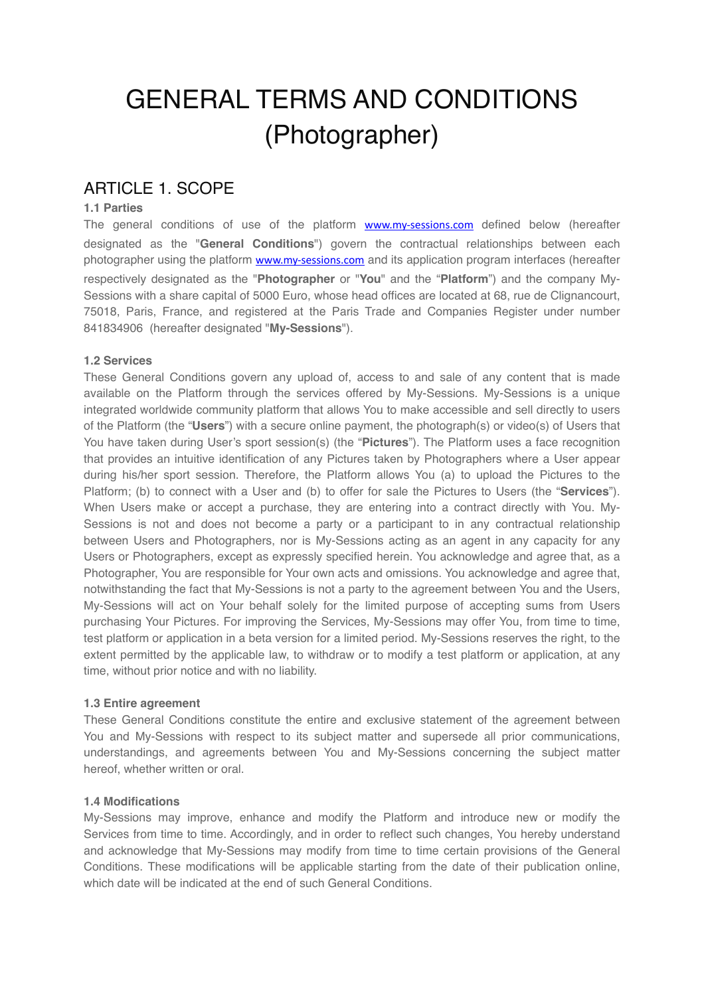# GENERAL TERMS AND CONDITIONS (Photographer)

### ARTICLE 1. SCOPE

### **1.1 Parties**

The general conditions of use of the platform **[www.my-sessions.com](http://www.my-sessions.com)** defined below (hereafter designated as the "**General Conditions**") govern the contractual relationships between each photographer using the platform [www.my-sessions.com](http://www.my-sessions.com) and its application program interfaces (hereafter respectively designated as the "**Photographer** or "**You**" and the "**Platform**") and the company My-Sessions with a share capital of 5000 Euro, whose head offices are located at 68, rue de Clignancourt, 75018, Paris, France, and registered at the Paris Trade and Companies Register under number 841834906 (hereafter designated "**My-Sessions**").

#### **1.2 Services**

These General Conditions govern any upload of, access to and sale of any content that is made available on the Platform through the services offered by My-Sessions. My-Sessions is a unique integrated worldwide community platform that allows You to make accessible and sell directly to users of the Platform (the "**Users**") with a secure online payment, the photograph(s) or video(s) of Users that You have taken during User's sport session(s) (the "Pictures"). The Platform uses a face recognition that provides an intuitive identification of any Pictures taken by Photographers where a User appear during his/her sport session. Therefore, the Platform allows You (a) to upload the Pictures to the Platform; (b) to connect with a User and (b) to offer for sale the Pictures to Users (the "**Services**"). When Users make or accept a purchase, they are entering into a contract directly with You. My-Sessions is not and does not become a party or a participant to in any contractual relationship between Users and Photographers, nor is My-Sessions acting as an agent in any capacity for any Users or Photographers, except as expressly specified herein. You acknowledge and agree that, as a Photographer, You are responsible for Your own acts and omissions. You acknowledge and agree that, notwithstanding the fact that My-Sessions is not a party to the agreement between You and the Users, My-Sessions will act on Your behalf solely for the limited purpose of accepting sums from Users purchasing Your Pictures. For improving the Services, My-Sessions may offer You, from time to time, test platform or application in a beta version for a limited period. My-Sessions reserves the right, to the extent permitted by the applicable law, to withdraw or to modify a test platform or application, at any time, without prior notice and with no liability.

#### **1.3 Entire agreement**

These General Conditions constitute the entire and exclusive statement of the agreement between You and My-Sessions with respect to its subject matter and supersede all prior communications, understandings, and agreements between You and My-Sessions concerning the subject matter hereof, whether written or oral.

#### **1.4 Modifications**

My-Sessions may improve, enhance and modify the Platform and introduce new or modify the Services from time to time. Accordingly, and in order to reflect such changes, You hereby understand and acknowledge that My-Sessions may modify from time to time certain provisions of the General Conditions. These modifications will be applicable starting from the date of their publication online, which date will be indicated at the end of such General Conditions.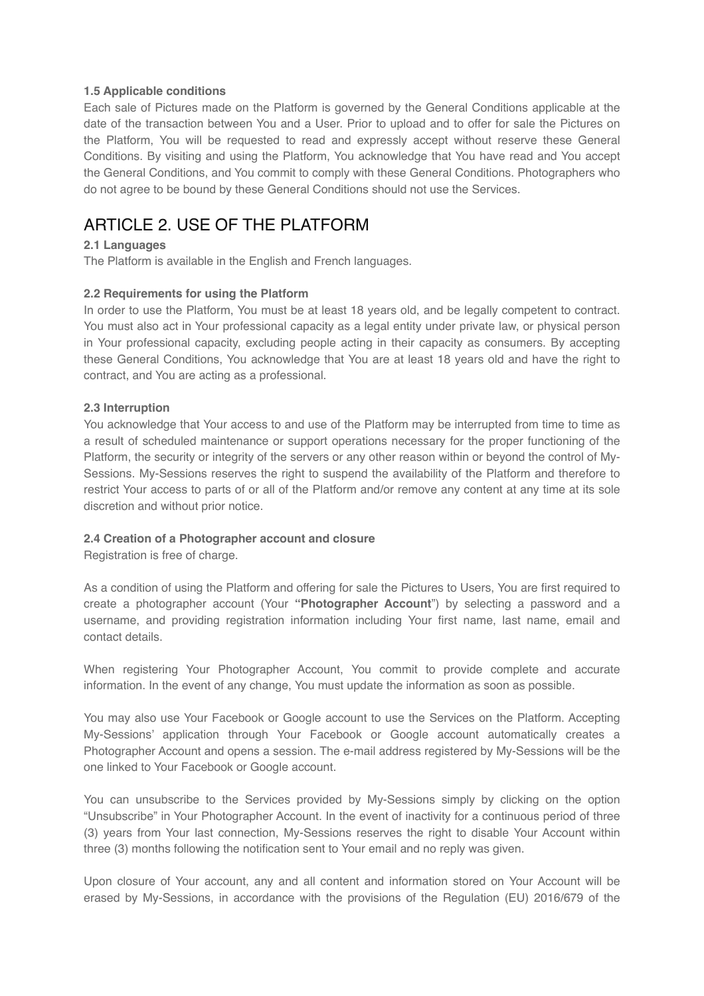#### **1.5 Applicable conditions**

Each sale of Pictures made on the Platform is governed by the General Conditions applicable at the date of the transaction between You and a User. Prior to upload and to offer for sale the Pictures on the Platform, You will be requested to read and expressly accept without reserve these General Conditions. By visiting and using the Platform, You acknowledge that You have read and You accept the General Conditions, and You commit to comply with these General Conditions. Photographers who do not agree to be bound by these General Conditions should not use the Services.

### ARTICLE 2. USE OF THE PLATFORM

#### **2.1 Languages**

The Platform is available in the English and French languages.

#### **2.2 Requirements for using the Platform**

In order to use the Platform, You must be at least 18 years old, and be legally competent to contract. You must also act in Your professional capacity as a legal entity under private law, or physical person in Your professional capacity, excluding people acting in their capacity as consumers. By accepting these General Conditions, You acknowledge that You are at least 18 years old and have the right to contract, and You are acting as a professional.

#### **2.3 Interruption**

You acknowledge that Your access to and use of the Platform may be interrupted from time to time as a result of scheduled maintenance or support operations necessary for the proper functioning of the Platform, the security or integrity of the servers or any other reason within or beyond the control of My-Sessions. My-Sessions reserves the right to suspend the availability of the Platform and therefore to restrict Your access to parts of or all of the Platform and/or remove any content at any time at its sole discretion and without prior notice.

#### **2.4 Creation of a Photographer account and closure**

Registration is free of charge.

As a condition of using the Platform and offering for sale the Pictures to Users, You are first required to create a photographer account (Your **"Photographer Account**") by selecting a password and a username, and providing registration information including Your first name, last name, email and contact details.

When registering Your Photographer Account, You commit to provide complete and accurate information. In the event of any change, You must update the information as soon as possible.

You may also use Your Facebook or Google account to use the Services on the Platform. Accepting My-Sessions' application through Your Facebook or Google account automatically creates a Photographer Account and opens a session. The e-mail address registered by My-Sessions will be the one linked to Your Facebook or Google account.

You can unsubscribe to the Services provided by My-Sessions simply by clicking on the option "Unsubscribe" in Your Photographer Account. In the event of inactivity for a continuous period of three (3) years from Your last connection, My-Sessions reserves the right to disable Your Account within three (3) months following the notification sent to Your email and no reply was given.

Upon closure of Your account, any and all content and information stored on Your Account will be erased by My-Sessions, in accordance with the provisions of the Regulation (EU) 2016/679 of the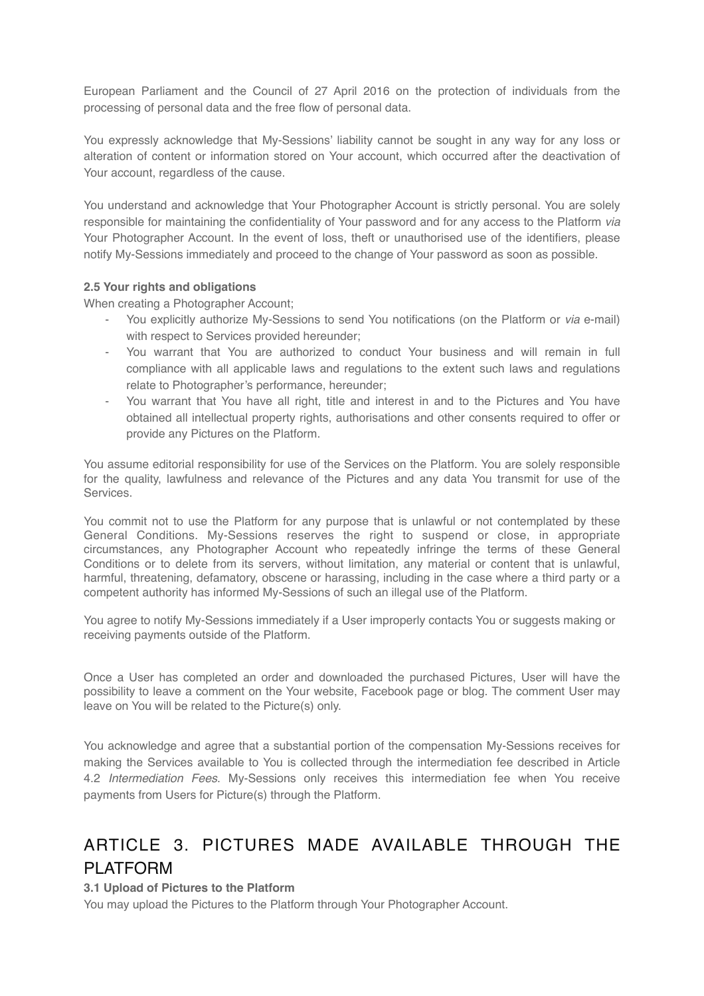European Parliament and the Council of 27 April 2016 on the protection of individuals from the processing of personal data and the free flow of personal data.

You expressly acknowledge that My-Sessions' liability cannot be sought in any way for any loss or alteration of content or information stored on Your account, which occurred after the deactivation of Your account, regardless of the cause.

You understand and acknowledge that Your Photographer Account is strictly personal. You are solely responsible for maintaining the confidentiality of Your password and for any access to the Platform *via* Your Photographer Account. In the event of loss, theft or unauthorised use of the identifiers, please notify My-Sessions immediately and proceed to the change of Your password as soon as possible.

#### **2.5 Your rights and obligations**

When creating a Photographer Account;

- You explicitly authorize My-Sessions to send You notifications (on the Platform or *via* e-mail) with respect to Services provided hereunder:
- You warrant that You are authorized to conduct Your business and will remain in full compliance with all applicable laws and regulations to the extent such laws and regulations relate to Photographer's performance, hereunder;
- You warrant that You have all right, title and interest in and to the Pictures and You have obtained all intellectual property rights, authorisations and other consents required to offer or provide any Pictures on the Platform.

You assume editorial responsibility for use of the Services on the Platform. You are solely responsible for the quality, lawfulness and relevance of the Pictures and any data You transmit for use of the Services.

You commit not to use the Platform for any purpose that is unlawful or not contemplated by these General Conditions. My-Sessions reserves the right to suspend or close, in appropriate circumstances, any Photographer Account who repeatedly infringe the terms of these General Conditions or to delete from its servers, without limitation, any material or content that is unlawful, harmful, threatening, defamatory, obscene or harassing, including in the case where a third party or a competent authority has informed My-Sessions of such an illegal use of the Platform.

You agree to notify My-Sessions immediately if a User improperly contacts You or suggests making or receiving payments outside of the Platform.

Once a User has completed an order and downloaded the purchased Pictures, User will have the possibility to leave a comment on the Your website, Facebook page or blog. The comment User may leave on You will be related to the Picture(s) only.

You acknowledge and agree that a substantial portion of the compensation My-Sessions receives for making the Services available to You is collected through the intermediation fee described in Article 4.2 *Intermediation Fees*. My-Sessions only receives this intermediation fee when You receive payments from Users for Picture(s) through the Platform.

## ARTICLE 3. PICTURES MADE AVAILABLE THROUGH THE PI ATFORM

#### **3.1 Upload of Pictures to the Platform**

You may upload the Pictures to the Platform through Your Photographer Account.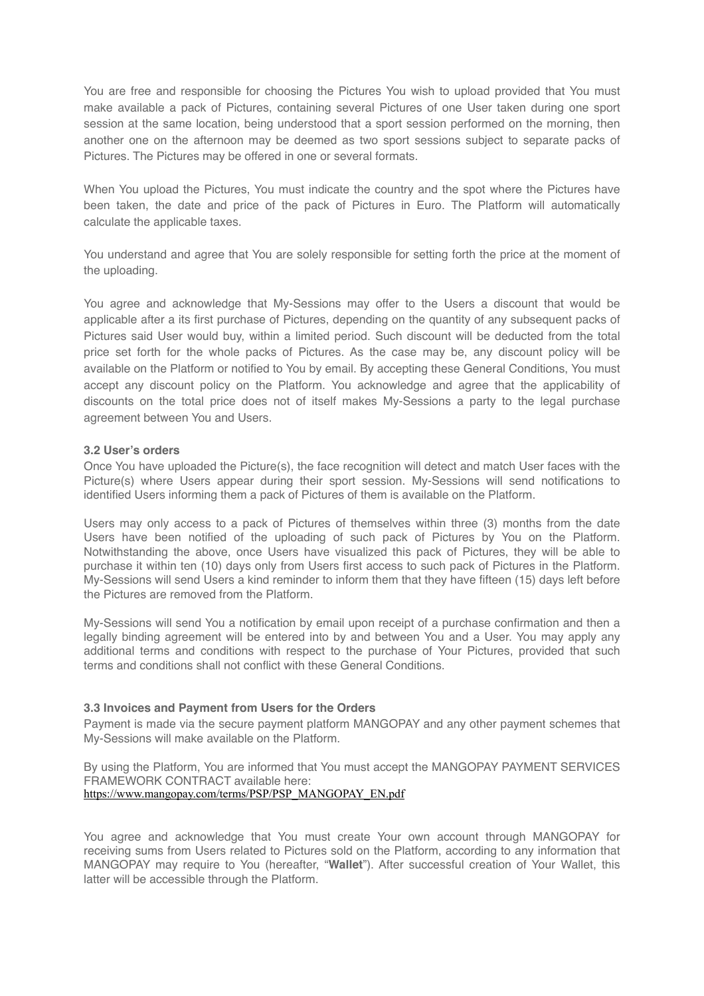You are free and responsible for choosing the Pictures You wish to upload provided that You must make available a pack of Pictures, containing several Pictures of one User taken during one sport session at the same location, being understood that a sport session performed on the morning, then another one on the afternoon may be deemed as two sport sessions subject to separate packs of Pictures. The Pictures may be offered in one or several formats.

When You upload the Pictures, You must indicate the country and the spot where the Pictures have been taken, the date and price of the pack of Pictures in Euro. The Platform will automatically calculate the applicable taxes.

You understand and agree that You are solely responsible for setting forth the price at the moment of the uploading.

You agree and acknowledge that My-Sessions may offer to the Users a discount that would be applicable after a its first purchase of Pictures, depending on the quantity of any subsequent packs of Pictures said User would buy, within a limited period. Such discount will be deducted from the total price set forth for the whole packs of Pictures. As the case may be, any discount policy will be available on the Platform or notified to You by email. By accepting these General Conditions, You must accept any discount policy on the Platform. You acknowledge and agree that the applicability of discounts on the total price does not of itself makes My-Sessions a party to the legal purchase agreement between You and Users.

#### **3.2 User's orders**

Once You have uploaded the Picture(s), the face recognition will detect and match User faces with the Picture(s) where Users appear during their sport session. My-Sessions will send notifications to identified Users informing them a pack of Pictures of them is available on the Platform.

Users may only access to a pack of Pictures of themselves within three (3) months from the date Users have been notified of the uploading of such pack of Pictures by You on the Platform. Notwithstanding the above, once Users have visualized this pack of Pictures, they will be able to purchase it within ten (10) days only from Users first access to such pack of Pictures in the Platform. My-Sessions will send Users a kind reminder to inform them that they have fifteen (15) days left before the Pictures are removed from the Platform.

My-Sessions will send You a notification by email upon receipt of a purchase confirmation and then a legally binding agreement will be entered into by and between You and a User. You may apply any additional terms and conditions with respect to the purchase of Your Pictures, provided that such terms and conditions shall not conflict with these General Conditions.

#### **3.3 Invoices and Payment from Users for the Orders**

Payment is made via the secure payment platform MANGOPAY and any other payment schemes that My-Sessions will make available on the Platform.

By using the Platform, You are informed that You must accept the MANGOPAY PAYMENT SERVICES FRAMEWORK CONTRACT available here: [https://www.mangopay.com/terms/PSP/PSP\\_MANGOPAY\\_EN.pdf](https://www.mangopay.com/terms/PSP/PSP_MANGOPAY_EN.pdf)

You agree and acknowledge that You must create Your own account through MANGOPAY for receiving sums from Users related to Pictures sold on the Platform, according to any information that MANGOPAY may require to You (hereafter, "**Wallet**"). After successful creation of Your Wallet, this latter will be accessible through the Platform.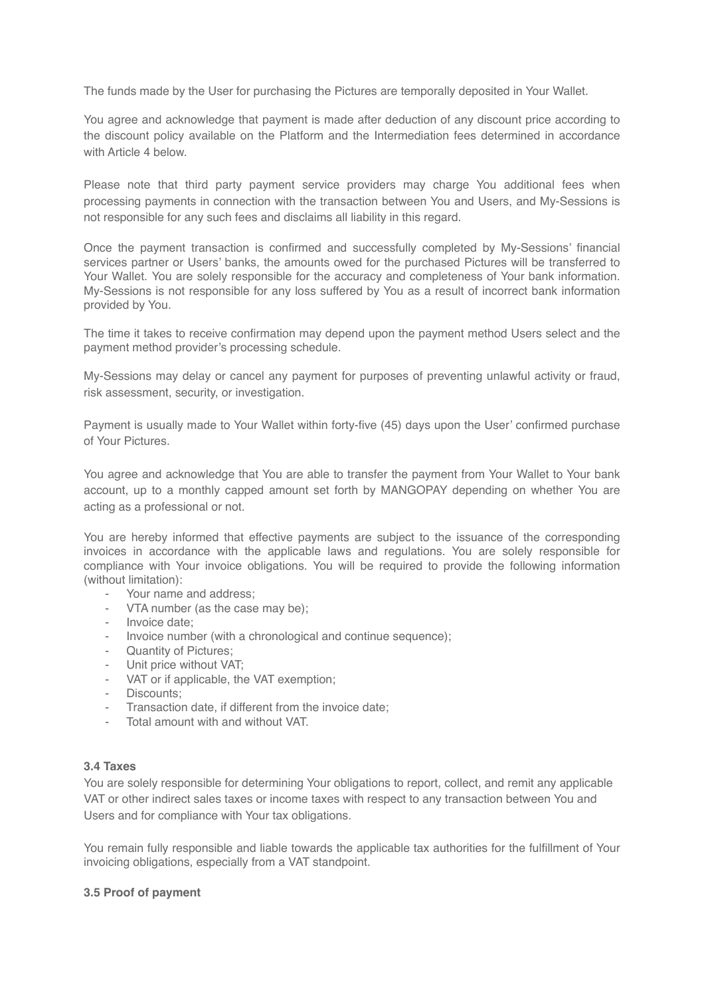The funds made by the User for purchasing the Pictures are temporally deposited in Your Wallet.

You agree and acknowledge that payment is made after deduction of any discount price according to the discount policy available on the Platform and the Intermediation fees determined in accordance with Article 4 below.

Please note that third party payment service providers may charge You additional fees when processing payments in connection with the transaction between You and Users, and My-Sessions is not responsible for any such fees and disclaims all liability in this regard.

Once the payment transaction is confirmed and successfully completed by My-Sessions' financial services partner or Users' banks, the amounts owed for the purchased Pictures will be transferred to Your Wallet. You are solely responsible for the accuracy and completeness of Your bank information. My-Sessions is not responsible for any loss suffered by You as a result of incorrect bank information provided by You.

The time it takes to receive confirmation may depend upon the payment method Users select and the payment method provider's processing schedule.

My-Sessions may delay or cancel any payment for purposes of preventing unlawful activity or fraud, risk assessment, security, or investigation.

Payment is usually made to Your Wallet within forty-five (45) days upon the User' confirmed purchase of Your Pictures.

You agree and acknowledge that You are able to transfer the payment from Your Wallet to Your bank account, up to a monthly capped amount set forth by MANGOPAY depending on whether You are acting as a professional or not.

You are hereby informed that effective payments are subject to the issuance of the corresponding invoices in accordance with the applicable laws and regulations. You are solely responsible for compliance with Your invoice obligations. You will be required to provide the following information (without limitation):

- Your name and address:
- VTA number (as the case may be);
- Invoice date:
- Invoice number (with a chronological and continue sequence);
- Quantity of Pictures;
- Unit price without VAT;
- VAT or if applicable, the VAT exemption;
- Discounts;
- Transaction date, if different from the invoice date;
- Total amount with and without VAT.

#### **3.4 Taxes**

You are solely responsible for determining Your obligations to report, collect, and remit any applicable VAT or other indirect sales taxes or income taxes with respect to any transaction between You and Users and for compliance with Your tax obligations.

You remain fully responsible and liable towards the applicable tax authorities for the fulfillment of Your invoicing obligations, especially from a VAT standpoint.

#### **3.5 Proof of payment**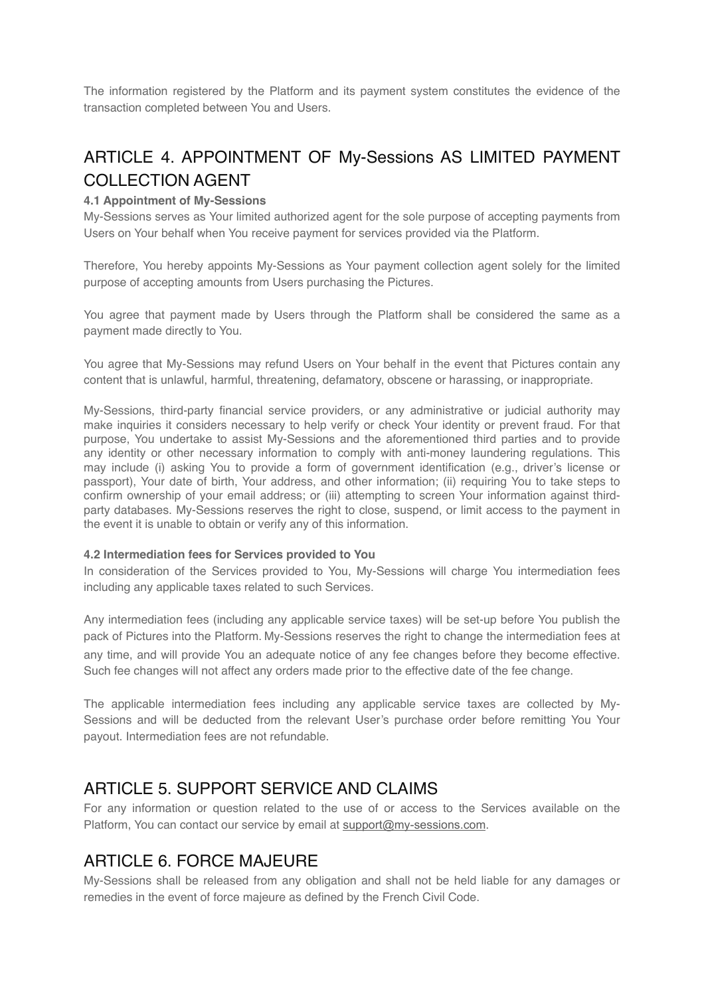The information registered by the Platform and its payment system constitutes the evidence of the transaction completed between You and Users.

# ARTICLE 4. APPOINTMENT OF My-Sessions AS LIMITED PAYMENT COLLECTION AGENT

### **4.1 Appointment of My-Sessions**

My-Sessions serves as Your limited authorized agent for the sole purpose of accepting payments from Users on Your behalf when You receive payment for services provided via the Platform.

Therefore, You hereby appoints My-Sessions as Your payment collection agent solely for the limited purpose of accepting amounts from Users purchasing the Pictures.

You agree that payment made by Users through the Platform shall be considered the same as a payment made directly to You.

You agree that My-Sessions may refund Users on Your behalf in the event that Pictures contain any content that is unlawful, harmful, threatening, defamatory, obscene or harassing, or inappropriate.

My-Sessions, third-party financial service providers, or any administrative or judicial authority may make inquiries it considers necessary to help verify or check Your identity or prevent fraud. For that purpose, You undertake to assist My-Sessions and the aforementioned third parties and to provide any identity or other necessary information to comply with anti-money laundering regulations. This may include (i) asking You to provide a form of government identification (e.g., driver's license or passport), Your date of birth, Your address, and other information; (ii) requiring You to take steps to confirm ownership of your email address; or (iii) attempting to screen Your information against thirdparty databases. My-Sessions reserves the right to close, suspend, or limit access to the payment in the event it is unable to obtain or verify any of this information.

#### **4.2 Intermediation fees for Services provided to You**

In consideration of the Services provided to You, My-Sessions will charge You intermediation fees including any applicable taxes related to such Services.

Any intermediation fees (including any applicable service taxes) will be set-up before You publish the pack of Pictures into the Platform. My-Sessions reserves the right to change the intermediation fees at any time, and will provide You an adequate notice of any fee changes before they become effective. Such fee changes will not affect any orders made prior to the effective date of the fee change.

The applicable intermediation fees including any applicable service taxes are collected by My-Sessions and will be deducted from the relevant User's purchase order before remitting You Your payout. Intermediation fees are not refundable.

### ARTICLE 5. SUPPORT SERVICE AND CLAIMS

For any information or question related to the use of or access to the Services available on the Platform, You can contact our service by email at [support@my-sessions.com.](mailto:support@my-sessions.com)

### ARTICLE 6. FORCE MAJEURE

My-Sessions shall be released from any obligation and shall not be held liable for any damages or remedies in the event of force majeure as defined by the French Civil Code.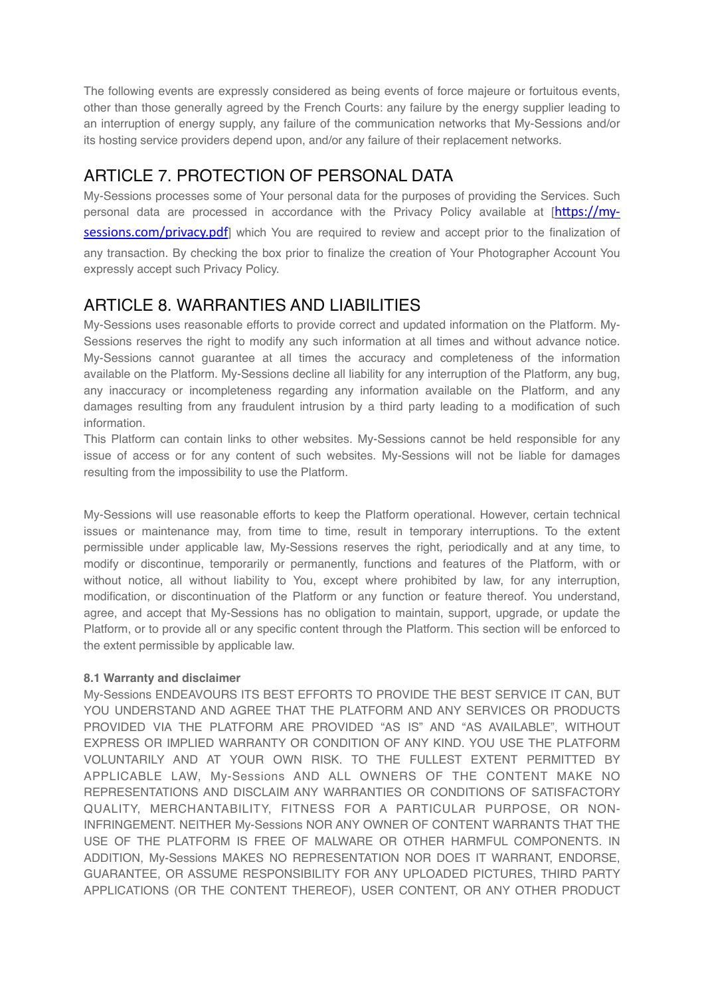The following events are expressly considered as being events of force majeure or fortuitous events, other than those generally agreed by the French Courts: any failure by the energy supplier leading to an interruption of energy supply, any failure of the communication networks that My-Sessions and/or its hosting service providers depend upon, and/or any failure of their replacement networks.

### ARTICLE 7. PROTECTION OF PERSONAL DATA

My-Sessions processes some of Your personal data for the purposes of providing the Services. Such personal data are processed in accordance with the Privacy Policy available at  $[https://my$ [sessions.com/privacy.pdf](https://my-sessions.com/privacy.pdf)] which You are required to review and accept prior to the finalization of any transaction. By checking the box prior to finalize the creation of Your Photographer Account You expressly accept such Privacy Policy.

### ARTICLE 8. WARRANTIES AND LIABILITIES

My-Sessions uses reasonable efforts to provide correct and updated information on the Platform. My-Sessions reserves the right to modify any such information at all times and without advance notice. My-Sessions cannot guarantee at all times the accuracy and completeness of the information available on the Platform. My-Sessions decline all liability for any interruption of the Platform, any bug, any inaccuracy or incompleteness regarding any information available on the Platform, and any damages resulting from any fraudulent intrusion by a third party leading to a modification of such information.

This Platform can contain links to other websites. My-Sessions cannot be held responsible for any issue of access or for any content of such websites. My-Sessions will not be liable for damages resulting from the impossibility to use the Platform.

My-Sessions will use reasonable efforts to keep the Platform operational. However, certain technical issues or maintenance may, from time to time, result in temporary interruptions. To the extent permissible under applicable law, My-Sessions reserves the right, periodically and at any time, to modify or discontinue, temporarily or permanently, functions and features of the Platform, with or without notice, all without liability to You, except where prohibited by law, for any interruption, modification, or discontinuation of the Platform or any function or feature thereof. You understand, agree, and accept that My-Sessions has no obligation to maintain, support, upgrade, or update the Platform, or to provide all or any specific content through the Platform. This section will be enforced to the extent permissible by applicable law.

### **8.1 Warranty and disclaimer**

My-Sessions ENDEAVOURS ITS BEST EFFORTS TO PROVIDE THE BEST SERVICE IT CAN, BUT YOU UNDERSTAND AND AGREE THAT THE PLATFORM AND ANY SERVICES OR PRODUCTS PROVIDED VIA THE PLATFORM ARE PROVIDED "AS IS" AND "AS AVAILABLE", WITHOUT EXPRESS OR IMPLIED WARRANTY OR CONDITION OF ANY KIND. YOU USE THE PLATFORM VOLUNTARILY AND AT YOUR OWN RISK. TO THE FULLEST EXTENT PERMITTED BY APPLICABLE LAW, My-Sessions AND ALL OWNERS OF THE CONTENT MAKE NO REPRESENTATIONS AND DISCLAIM ANY WARRANTIES OR CONDITIONS OF SATISFACTORY QUALITY, MERCHANTABILITY, FITNESS FOR A PARTICULAR PURPOSE, OR NON-INFRINGEMENT. NEITHER My-Sessions NOR ANY OWNER OF CONTENT WARRANTS THAT THE USE OF THE PLATFORM IS FREE OF MALWARE OR OTHER HARMFUL COMPONENTS. IN ADDITION, My-Sessions MAKES NO REPRESENTATION NOR DOES IT WARRANT, ENDORSE, GUARANTEE, OR ASSUME RESPONSIBILITY FOR ANY UPLOADED PICTURES, THIRD PARTY APPLICATIONS (OR THE CONTENT THEREOF), USER CONTENT, OR ANY OTHER PRODUCT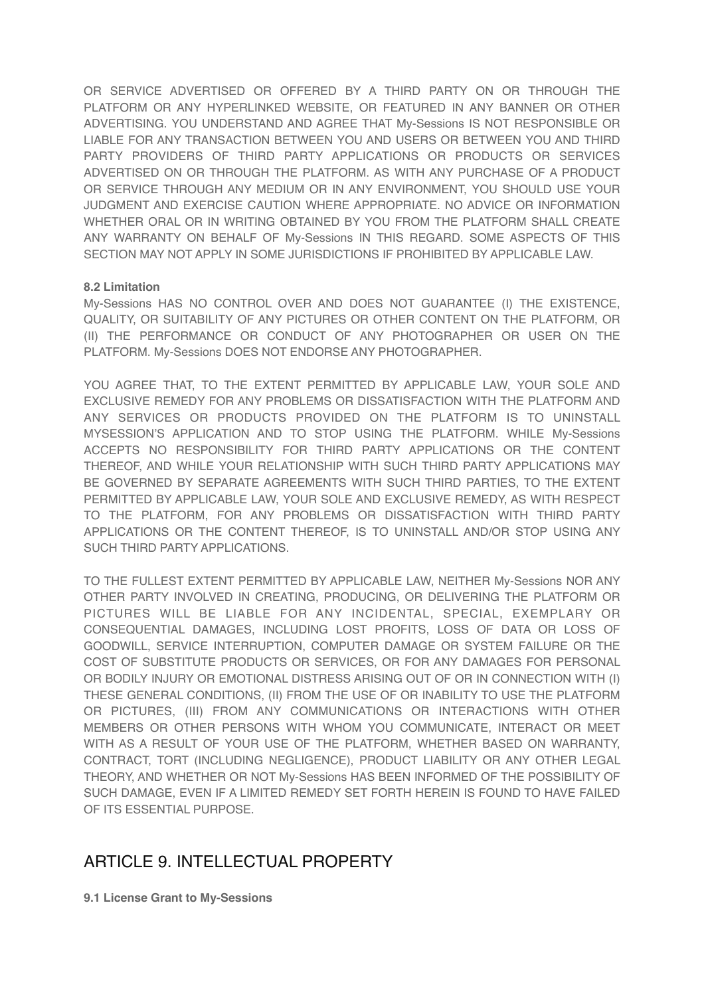OR SERVICE ADVERTISED OR OFFERED BY A THIRD PARTY ON OR THROUGH THE PLATFORM OR ANY HYPERLINKED WEBSITE, OR FEATURED IN ANY BANNER OR OTHER ADVERTISING. YOU UNDERSTAND AND AGREE THAT My-Sessions IS NOT RESPONSIBLE OR LIABLE FOR ANY TRANSACTION BETWEEN YOU AND USERS OR BETWEEN YOU AND THIRD PARTY PROVIDERS OF THIRD PARTY APPLICATIONS OR PRODUCTS OR SERVICES ADVERTISED ON OR THROUGH THE PLATFORM. AS WITH ANY PURCHASE OF A PRODUCT OR SERVICE THROUGH ANY MEDIUM OR IN ANY ENVIRONMENT, YOU SHOULD USE YOUR JUDGMENT AND EXERCISE CAUTION WHERE APPROPRIATE. NO ADVICE OR INFORMATION WHETHER ORAL OR IN WRITING OBTAINED BY YOU FROM THE PLATFORM SHALL CREATE ANY WARRANTY ON BEHALF OF My-Sessions IN THIS REGARD. SOME ASPECTS OF THIS SECTION MAY NOT APPLY IN SOME JURISDICTIONS IF PROHIBITED BY APPLICABLE LAW.

### **8.2 Limitation**

My-Sessions HAS NO CONTROL OVER AND DOES NOT GUARANTEE (I) THE EXISTENCE, QUALITY, OR SUITABILITY OF ANY PICTURES OR OTHER CONTENT ON THE PLATFORM, OR (II) THE PERFORMANCE OR CONDUCT OF ANY PHOTOGRAPHER OR USER ON THE PLATFORM. My-Sessions DOES NOT ENDORSE ANY PHOTOGRAPHER.

YOU AGREE THAT, TO THE EXTENT PERMITTED BY APPLICABLE LAW, YOUR SOLE AND EXCLUSIVE REMEDY FOR ANY PROBLEMS OR DISSATISFACTION WITH THE PLATFORM AND ANY SERVICES OR PRODUCTS PROVIDED ON THE PLATFORM IS TO UNINSTALL MYSESSION'S APPLICATION AND TO STOP USING THE PLATFORM. WHILE My-Sessions ACCEPTS NO RESPONSIBILITY FOR THIRD PARTY APPLICATIONS OR THE CONTENT THEREOF, AND WHILE YOUR RELATIONSHIP WITH SUCH THIRD PARTY APPLICATIONS MAY BE GOVERNED BY SEPARATE AGREEMENTS WITH SUCH THIRD PARTIES, TO THE EXTENT PERMITTED BY APPLICABLE LAW, YOUR SOLE AND EXCLUSIVE REMEDY, AS WITH RESPECT TO THE PLATFORM, FOR ANY PROBLEMS OR DISSATISFACTION WITH THIRD PARTY APPLICATIONS OR THE CONTENT THEREOF, IS TO UNINSTALL AND/OR STOP USING ANY SUCH THIRD PARTY APPLICATIONS.

TO THE FULLEST EXTENT PERMITTED BY APPLICABLE LAW, NEITHER My-Sessions NOR ANY OTHER PARTY INVOLVED IN CREATING, PRODUCING, OR DELIVERING THE PLATFORM OR PICTURES WILL BE LIABLE FOR ANY INCIDENTAL, SPECIAL, EXEMPLARY OR CONSEQUENTIAL DAMAGES, INCLUDING LOST PROFITS, LOSS OF DATA OR LOSS OF GOODWILL, SERVICE INTERRUPTION, COMPUTER DAMAGE OR SYSTEM FAILURE OR THE COST OF SUBSTITUTE PRODUCTS OR SERVICES, OR FOR ANY DAMAGES FOR PERSONAL OR BODILY INJURY OR EMOTIONAL DISTRESS ARISING OUT OF OR IN CONNECTION WITH (I) THESE GENERAL CONDITIONS, (II) FROM THE USE OF OR INABILITY TO USE THE PLATFORM OR PICTURES, (III) FROM ANY COMMUNICATIONS OR INTERACTIONS WITH OTHER MEMBERS OR OTHER PERSONS WITH WHOM YOU COMMUNICATE, INTERACT OR MEET WITH AS A RESULT OF YOUR USE OF THE PLATFORM, WHETHER BASED ON WARRANTY, CONTRACT, TORT (INCLUDING NEGLIGENCE), PRODUCT LIABILITY OR ANY OTHER LEGAL THEORY, AND WHETHER OR NOT My-Sessions HAS BEEN INFORMED OF THE POSSIBILITY OF SUCH DAMAGE, EVEN IF A LIMITED REMEDY SET FORTH HEREIN IS FOUND TO HAVE FAILED OF ITS ESSENTIAL PURPOSE.

### ARTICLE 9. INTELLECTUAL PROPERTY

**9.1 License Grant to My-Sessions**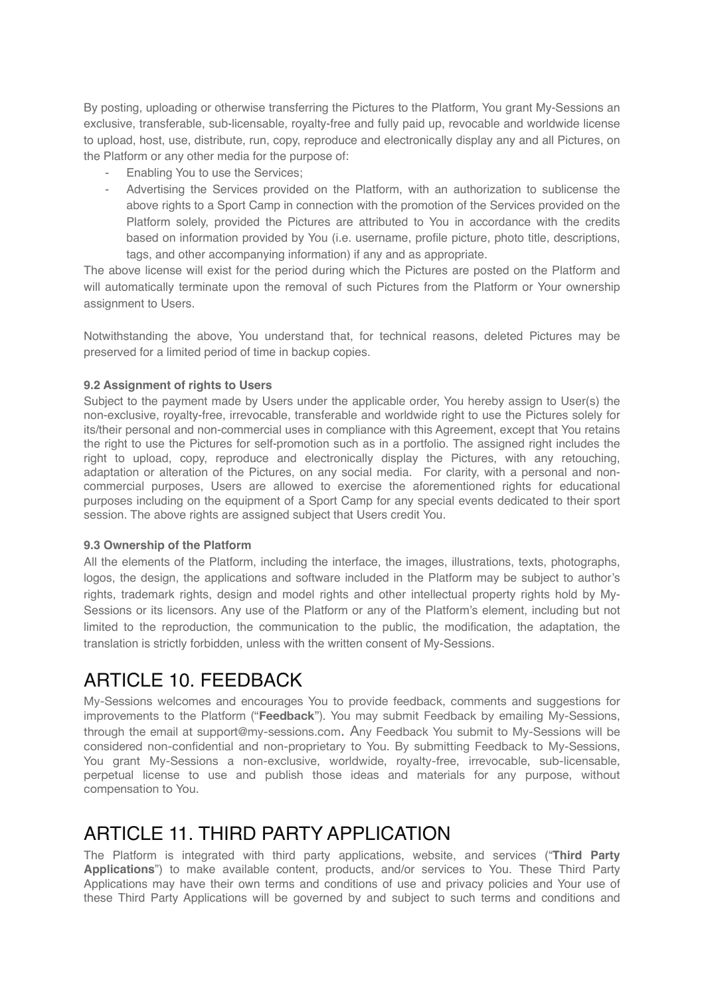By posting, uploading or otherwise transferring the Pictures to the Platform, You grant My-Sessions an exclusive, transferable, sub-licensable, royalty-free and fully paid up, revocable and worldwide license to upload, host, use, distribute, run, copy, reproduce and electronically display any and all Pictures, on the Platform or any other media for the purpose of:

- Enabling You to use the Services:
- Advertising the Services provided on the Platform, with an authorization to sublicense the above rights to a Sport Camp in connection with the promotion of the Services provided on the Platform solely, provided the Pictures are attributed to You in accordance with the credits based on information provided by You (i.e. username, profile picture, photo title, descriptions, tags, and other accompanying information) if any and as appropriate.

The above license will exist for the period during which the Pictures are posted on the Platform and will automatically terminate upon the removal of such Pictures from the Platform or Your ownership assignment to Users.

Notwithstanding the above, You understand that, for technical reasons, deleted Pictures may be preserved for a limited period of time in backup copies.

### **9.2 Assignment of rights to Users**

Subject to the payment made by Users under the applicable order, You hereby assign to User(s) the non-exclusive, royalty-free, irrevocable, transferable and worldwide right to use the Pictures solely for its/their personal and non-commercial uses in compliance with this Agreement, except that You retains the right to use the Pictures for self-promotion such as in a portfolio. The assigned right includes the right to upload, copy, reproduce and electronically display the Pictures, with any retouching, adaptation or alteration of the Pictures, on any social media. For clarity, with a personal and noncommercial purposes, Users are allowed to exercise the aforementioned rights for educational purposes including on the equipment of a Sport Camp for any special events dedicated to their sport session. The above rights are assigned subject that Users credit You.

#### **9.3 Ownership of the Platform**

All the elements of the Platform, including the interface, the images, illustrations, texts, photographs, logos, the design, the applications and software included in the Platform may be subject to author's rights, trademark rights, design and model rights and other intellectual property rights hold by My-Sessions or its licensors. Any use of the Platform or any of the Platform's element, including but not limited to the reproduction, the communication to the public, the modification, the adaptation, the translation is strictly forbidden, unless with the written consent of My-Sessions.

# ARTICLE 10 FFFDBACK

My-Sessions welcomes and encourages You to provide feedback, comments and suggestions for improvements to the Platform ("**Feedback**"). You may submit Feedback by emailing My-Sessions, through the email at [support@my-sessions.com.](mailto:support@my-sessions.com) Any Feedback You submit to My-Sessions will be considered non-confidential and non-proprietary to You. By submitting Feedback to My-Sessions, You grant My-Sessions a non-exclusive, worldwide, royalty-free, irrevocable, sub-licensable, perpetual license to use and publish those ideas and materials for any purpose, without compensation to You.

# ARTICLE 11 THIRD PARTY APPLICATION

The Platform is integrated with third party applications, website, and services ("**Third Party Applications**") to make available content, products, and/or services to You. These Third Party Applications may have their own terms and conditions of use and privacy policies and Your use of these Third Party Applications will be governed by and subject to such terms and conditions and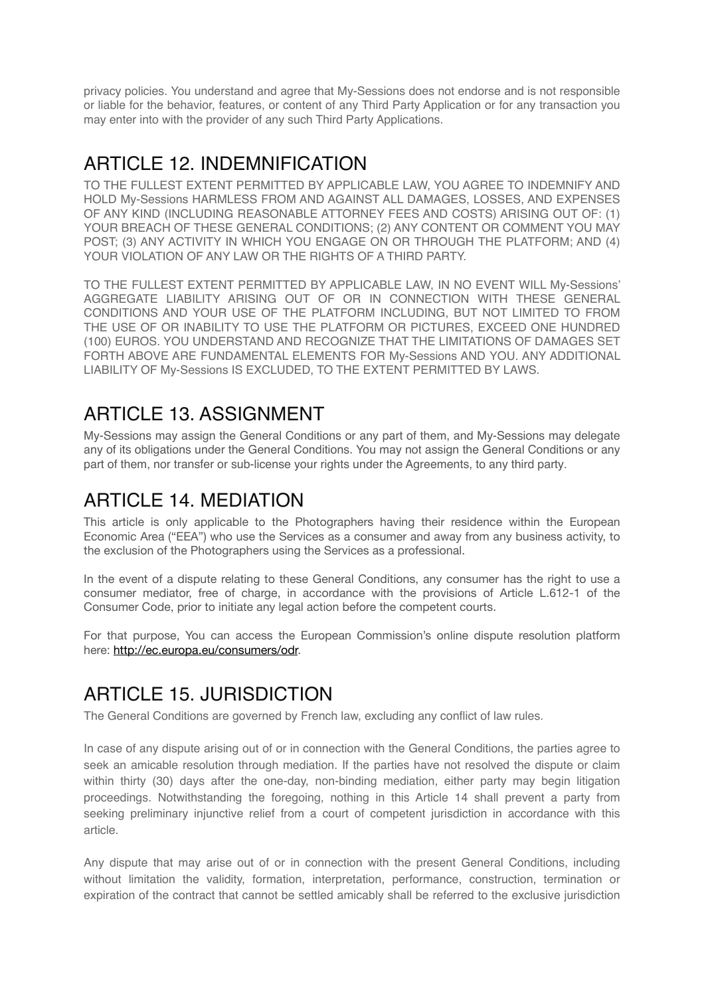privacy policies. You understand and agree that My-Sessions does not endorse and is not responsible or liable for the behavior, features, or content of any Third Party Application or for any transaction you may enter into with the provider of any such Third Party Applications.

# ARTICLE 12. INDEMNIFICATION

TO THE FULLEST EXTENT PERMITTED BY APPLICABLE LAW, YOU AGREE TO INDEMNIFY AND HOLD My-Sessions HARMLESS FROM AND AGAINST ALL DAMAGES, LOSSES, AND EXPENSES OF ANY KIND (INCLUDING REASONABLE ATTORNEY FEES AND COSTS) ARISING OUT OF: (1) YOUR BREACH OF THESE GENERAL CONDITIONS; (2) ANY CONTENT OR COMMENT YOU MAY POST; (3) ANY ACTIVITY IN WHICH YOU ENGAGE ON OR THROUGH THE PLATFORM; AND (4) YOUR VIOLATION OF ANY LAW OR THE RIGHTS OF A THIRD PARTY.

TO THE FULLEST EXTENT PERMITTED BY APPLICABLE LAW, IN NO EVENT WILL My-Sessions' AGGREGATE LIABILITY ARISING OUT OF OR IN CONNECTION WITH THESE GENERAL CONDITIONS AND YOUR USE OF THE PLATFORM INCLUDING, BUT NOT LIMITED TO FROM THE USE OF OR INABILITY TO USE THE PLATFORM OR PICTURES, EXCEED ONE HUNDRED (100) EUROS. YOU UNDERSTAND AND RECOGNIZE THAT THE LIMITATIONS OF DAMAGES SET FORTH ABOVE ARE FUNDAMENTAL ELEMENTS FOR My-Sessions AND YOU. ANY ADDITIONAL LIABILITY OF My-Sessions IS EXCLUDED, TO THE EXTENT PERMITTED BY LAWS.

# ARTICLE 13 ASSIGNMENT

My-Sessions may assign the General Conditions or any part of them, and My-Sessions may delegate any of its obligations under the General Conditions. You may not assign the General Conditions or any part of them, nor transfer or sub-license your rights under the Agreements, to any third party.

### ARTICLE 14. MEDIATION

This article is only applicable to the Photographers having their residence within the European Economic Area ("EEA") who use the Services as a consumer and away from any business activity, to the exclusion of the Photographers using the Services as a professional.

In the event of a dispute relating to these General Conditions, any consumer has the right to use a consumer mediator, free of charge, in accordance with the provisions of Article L.612-1 of the Consumer Code, prior to initiate any legal action before the competent courts.

For that purpose, You can access the European Commission's online dispute resolution platform here: [http://ec.europa.eu/consumers/odr.](http://ec.europa.eu/consumers/odr)

# ARTICLE 15. JURISDICTION

The General Conditions are governed by French law, excluding any conflict of law rules.

In case of any dispute arising out of or in connection with the General Conditions, the parties agree to seek an amicable resolution through mediation. If the parties have not resolved the dispute or claim within thirty (30) days after the one-day, non-binding mediation, either party may begin litigation proceedings. Notwithstanding the foregoing, nothing in this Article 14 shall prevent a party from seeking preliminary injunctive relief from a court of competent jurisdiction in accordance with this article.

Any dispute that may arise out of or in connection with the present General Conditions, including without limitation the validity, formation, interpretation, performance, construction, termination or expiration of the contract that cannot be settled amicably shall be referred to the exclusive jurisdiction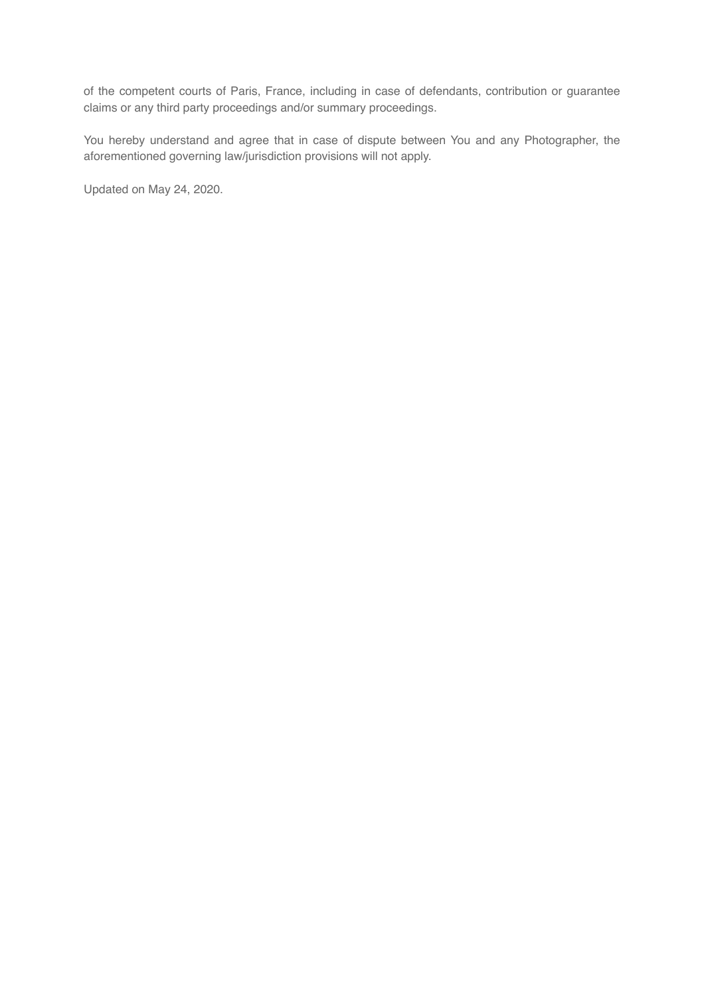of the competent courts of Paris, France, including in case of defendants, contribution or guarantee claims or any third party proceedings and/or summary proceedings.

You hereby understand and agree that in case of dispute between You and any Photographer, the aforementioned governing law/jurisdiction provisions will not apply.

Updated on May 24, 2020.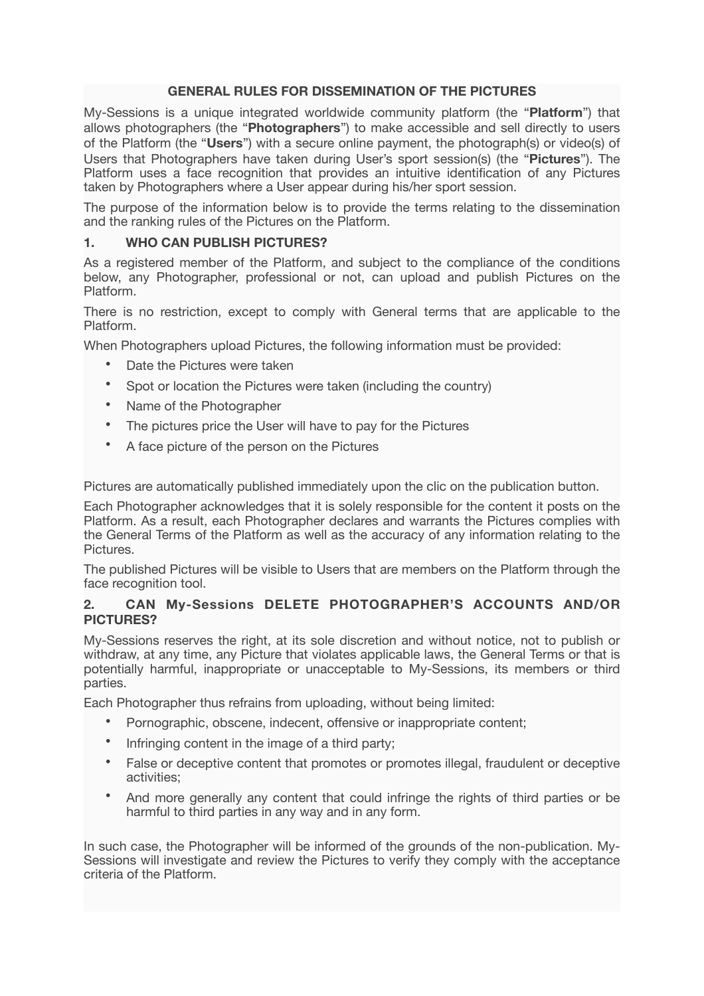### **GENERAL RULES FOR DISSEMINATION OF THE PICTURES**

My-Sessions is a unique integrated worldwide community platform (the "**Platform**") that allows photographers (the "**Photographers**") to make accessible and sell directly to users of the Platform (the "**Users**") with a secure online payment, the photograph(s) or video(s) of Users that Photographers have taken during User's sport session(s) (the "**Pictures**"). The Platform uses a face recognition that provides an intuitive identification of any Pictures taken by Photographers where a User appear during his/her sport session.

The purpose of the information below is to provide the terms relating to the dissemination and the ranking rules of the Pictures on the Platform.

### **1. WHO CAN PUBLISH PICTURES?**

As a registered member of the Platform, and subject to the compliance of the conditions below, any Photographer, professional or not, can upload and publish Pictures on the Platform.

There is no restriction, except to comply with General terms that are applicable to the Platform.

When Photographers upload Pictures, the following information must be provided:

- Date the Pictures were taken
- Spot or location the Pictures were taken (including the country)
- Name of the Photographer
- The pictures price the User will have to pay for the Pictures
- A face picture of the person on the Pictures

Pictures are automatically published immediately upon the clic on the publication button.

Each Photographer acknowledges that it is solely responsible for the content it posts on the Platform. As a result, each Photographer declares and warrants the Pictures complies with the General Terms of the Platform as well as the accuracy of any information relating to the **Pictures** 

The published Pictures will be visible to Users that are members on the Platform through the face recognition tool.

### **2. CAN My-Sessions DELETE PHOTOGRAPHER'S ACCOUNTS AND/OR PICTURES?**

My-Sessions reserves the right, at its sole discretion and without notice, not to publish or withdraw, at any time, any Picture that violates applicable laws, the General Terms or that is potentially harmful, inappropriate or unacceptable to My-Sessions, its members or third parties.

Each Photographer thus refrains from uploading, without being limited:

- Pornographic, obscene, indecent, offensive or inappropriate content;
- Infringing content in the image of a third party;
- False or deceptive content that promotes or promotes illegal, fraudulent or deceptive activities;
- And more generally any content that could infringe the rights of third parties or be harmful to third parties in any way and in any form.

In such case, the Photographer will be informed of the grounds of the non-publication. My-Sessions will investigate and review the Pictures to verify they comply with the acceptance criteria of the Platform.